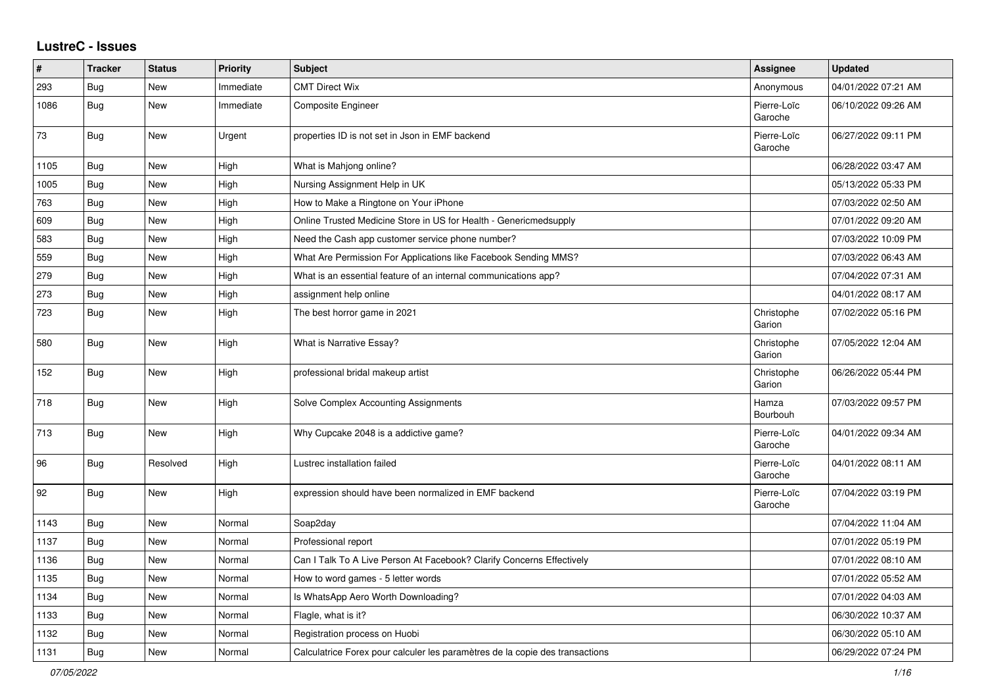## **LustreC - Issues**

| #    | <b>Tracker</b> | <b>Status</b> | <b>Priority</b> | <b>Subject</b>                                                               | Assignee               | <b>Updated</b>      |
|------|----------------|---------------|-----------------|------------------------------------------------------------------------------|------------------------|---------------------|
| 293  | <b>Bug</b>     | <b>New</b>    | Immediate       | <b>CMT Direct Wix</b>                                                        | Anonymous              | 04/01/2022 07:21 AM |
| 1086 | Bug            | New           | Immediate       | Composite Engineer                                                           | Pierre-Loïc<br>Garoche | 06/10/2022 09:26 AM |
| 73   | Bug            | New           | Urgent          | properties ID is not set in Json in EMF backend                              | Pierre-Loïc<br>Garoche | 06/27/2022 09:11 PM |
| 1105 | Bug            | New           | High            | What is Mahjong online?                                                      |                        | 06/28/2022 03:47 AM |
| 1005 | Bug            | New           | High            | Nursing Assignment Help in UK                                                |                        | 05/13/2022 05:33 PM |
| 763  | Bug            | <b>New</b>    | High            | How to Make a Ringtone on Your iPhone                                        |                        | 07/03/2022 02:50 AM |
| 609  | <b>Bug</b>     | New           | High            | Online Trusted Medicine Store in US for Health - Genericmedsupply            |                        | 07/01/2022 09:20 AM |
| 583  | Bug            | New           | High            | Need the Cash app customer service phone number?                             |                        | 07/03/2022 10:09 PM |
| 559  | Bug            | New           | High            | What Are Permission For Applications like Facebook Sending MMS?              |                        | 07/03/2022 06:43 AM |
| 279  | <b>Bug</b>     | New           | High            | What is an essential feature of an internal communications app?              |                        | 07/04/2022 07:31 AM |
| 273  | Bug            | <b>New</b>    | High            | assignment help online                                                       |                        | 04/01/2022 08:17 AM |
| 723  | Bug            | <b>New</b>    | High            | The best horror game in 2021                                                 | Christophe<br>Garion   | 07/02/2022 05:16 PM |
| 580  | Bug            | New           | High            | <b>What is Narrative Essay?</b>                                              | Christophe<br>Garion   | 07/05/2022 12:04 AM |
| 152  | <b>Bug</b>     | <b>New</b>    | High            | professional bridal makeup artist                                            | Christophe<br>Garion   | 06/26/2022 05:44 PM |
| 718  | Bug            | New           | High            | Solve Complex Accounting Assignments                                         | Hamza<br>Bourbouh      | 07/03/2022 09:57 PM |
| 713  | <b>Bug</b>     | New           | High            | Why Cupcake 2048 is a addictive game?                                        | Pierre-Loïc<br>Garoche | 04/01/2022 09:34 AM |
| 96   | Bug            | Resolved      | High            | Lustrec installation failed                                                  | Pierre-Loïc<br>Garoche | 04/01/2022 08:11 AM |
| 92   | Bug            | New           | High            | expression should have been normalized in EMF backend                        | Pierre-Loïc<br>Garoche | 07/04/2022 03:19 PM |
| 1143 | <b>Bug</b>     | New           | Normal          | Soap2day                                                                     |                        | 07/04/2022 11:04 AM |
| 1137 | Bug            | New           | Normal          | Professional report                                                          |                        | 07/01/2022 05:19 PM |
| 1136 | Bug            | New           | Normal          | Can I Talk To A Live Person At Facebook? Clarify Concerns Effectively        |                        | 07/01/2022 08:10 AM |
| 1135 | Bug            | New           | Normal          | How to word games - 5 letter words                                           |                        | 07/01/2022 05:52 AM |
| 1134 | <b>Bug</b>     | New           | Normal          | Is WhatsApp Aero Worth Downloading?                                          |                        | 07/01/2022 04:03 AM |
| 1133 | <b>Bug</b>     | <b>New</b>    | Normal          | Flagle, what is it?                                                          |                        | 06/30/2022 10:37 AM |
| 1132 | Bug            | New           | Normal          | Registration process on Huobi                                                |                        | 06/30/2022 05:10 AM |
| 1131 | Bug            | New           | Normal          | Calculatrice Forex pour calculer les paramètres de la copie des transactions |                        | 06/29/2022 07:24 PM |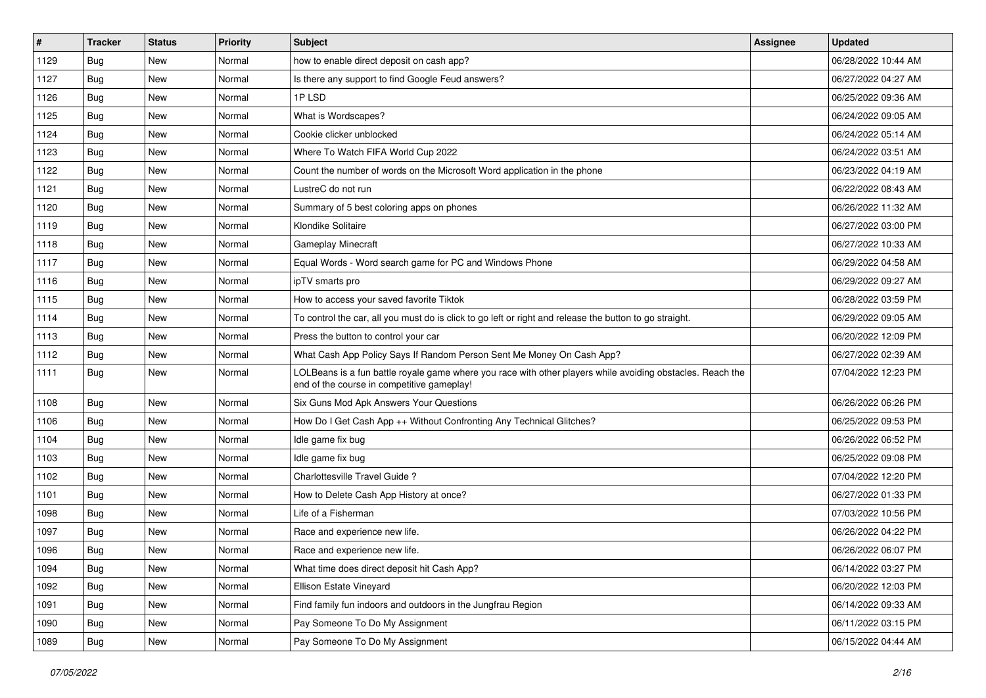| $\#$ | <b>Tracker</b> | <b>Status</b> | <b>Priority</b> | Subject                                                                                                                                                  | <b>Assignee</b> | <b>Updated</b>      |
|------|----------------|---------------|-----------------|----------------------------------------------------------------------------------------------------------------------------------------------------------|-----------------|---------------------|
| 1129 | Bug            | New           | Normal          | how to enable direct deposit on cash app?                                                                                                                |                 | 06/28/2022 10:44 AM |
| 1127 | Bug            | New           | Normal          | Is there any support to find Google Feud answers?                                                                                                        |                 | 06/27/2022 04:27 AM |
| 1126 | Bug            | New           | Normal          | 1PLSD                                                                                                                                                    |                 | 06/25/2022 09:36 AM |
| 1125 | Bug            | New           | Normal          | What is Wordscapes?                                                                                                                                      |                 | 06/24/2022 09:05 AM |
| 1124 | Bug            | <b>New</b>    | Normal          | Cookie clicker unblocked                                                                                                                                 |                 | 06/24/2022 05:14 AM |
| 1123 | Bug            | New           | Normal          | Where To Watch FIFA World Cup 2022                                                                                                                       |                 | 06/24/2022 03:51 AM |
| 1122 | Bug            | New           | Normal          | Count the number of words on the Microsoft Word application in the phone                                                                                 |                 | 06/23/2022 04:19 AM |
| 1121 | <b>Bug</b>     | New           | Normal          | LustreC do not run                                                                                                                                       |                 | 06/22/2022 08:43 AM |
| 1120 | Bug            | New           | Normal          | Summary of 5 best coloring apps on phones                                                                                                                |                 | 06/26/2022 11:32 AM |
| 1119 | Bug            | New           | Normal          | Klondike Solitaire                                                                                                                                       |                 | 06/27/2022 03:00 PM |
| 1118 | Bug            | New           | Normal          | <b>Gameplay Minecraft</b>                                                                                                                                |                 | 06/27/2022 10:33 AM |
| 1117 | Bug            | New           | Normal          | Equal Words - Word search game for PC and Windows Phone                                                                                                  |                 | 06/29/2022 04:58 AM |
| 1116 | Bug            | New           | Normal          | ipTV smarts pro                                                                                                                                          |                 | 06/29/2022 09:27 AM |
| 1115 | Bug            | New           | Normal          | How to access your saved favorite Tiktok                                                                                                                 |                 | 06/28/2022 03:59 PM |
| 1114 | Bug            | <b>New</b>    | Normal          | To control the car, all you must do is click to go left or right and release the button to go straight.                                                  |                 | 06/29/2022 09:05 AM |
| 1113 | Bug            | New           | Normal          | Press the button to control your car                                                                                                                     |                 | 06/20/2022 12:09 PM |
| 1112 | Bug            | <b>New</b>    | Normal          | What Cash App Policy Says If Random Person Sent Me Money On Cash App?                                                                                    |                 | 06/27/2022 02:39 AM |
| 1111 | <b>Bug</b>     | New           | Normal          | LOLBeans is a fun battle royale game where you race with other players while avoiding obstacles. Reach the<br>end of the course in competitive gameplay! |                 | 07/04/2022 12:23 PM |
| 1108 | Bug            | <b>New</b>    | Normal          | Six Guns Mod Apk Answers Your Questions                                                                                                                  |                 | 06/26/2022 06:26 PM |
| 1106 | Bug            | New           | Normal          | How Do I Get Cash App ++ Without Confronting Any Technical Glitches?                                                                                     |                 | 06/25/2022 09:53 PM |
| 1104 | Bug            | New           | Normal          | Idle game fix bug                                                                                                                                        |                 | 06/26/2022 06:52 PM |
| 1103 | Bug            | <b>New</b>    | Normal          | Idle game fix bug                                                                                                                                        |                 | 06/25/2022 09:08 PM |
| 1102 | Bug            | New           | Normal          | Charlottesville Travel Guide?                                                                                                                            |                 | 07/04/2022 12:20 PM |
| 1101 | Bug            | <b>New</b>    | Normal          | How to Delete Cash App History at once?                                                                                                                  |                 | 06/27/2022 01:33 PM |
| 1098 | Bug            | New           | Normal          | Life of a Fisherman                                                                                                                                      |                 | 07/03/2022 10:56 PM |
| 1097 | <b>Bug</b>     | New           | Normal          | Race and experience new life.                                                                                                                            |                 | 06/26/2022 04:22 PM |
| 1096 | <b>Bug</b>     | New           | Normal          | Race and experience new life.                                                                                                                            |                 | 06/26/2022 06:07 PM |
| 1094 | <b>Bug</b>     | New           | Normal          | What time does direct deposit hit Cash App?                                                                                                              |                 | 06/14/2022 03:27 PM |
| 1092 | <b>Bug</b>     | New           | Normal          | Ellison Estate Vineyard                                                                                                                                  |                 | 06/20/2022 12:03 PM |
| 1091 | Bug            | New           | Normal          | Find family fun indoors and outdoors in the Jungfrau Region                                                                                              |                 | 06/14/2022 09:33 AM |
| 1090 | Bug            | New           | Normal          | Pay Someone To Do My Assignment                                                                                                                          |                 | 06/11/2022 03:15 PM |
| 1089 | <b>Bug</b>     | New           | Normal          | Pay Someone To Do My Assignment                                                                                                                          |                 | 06/15/2022 04:44 AM |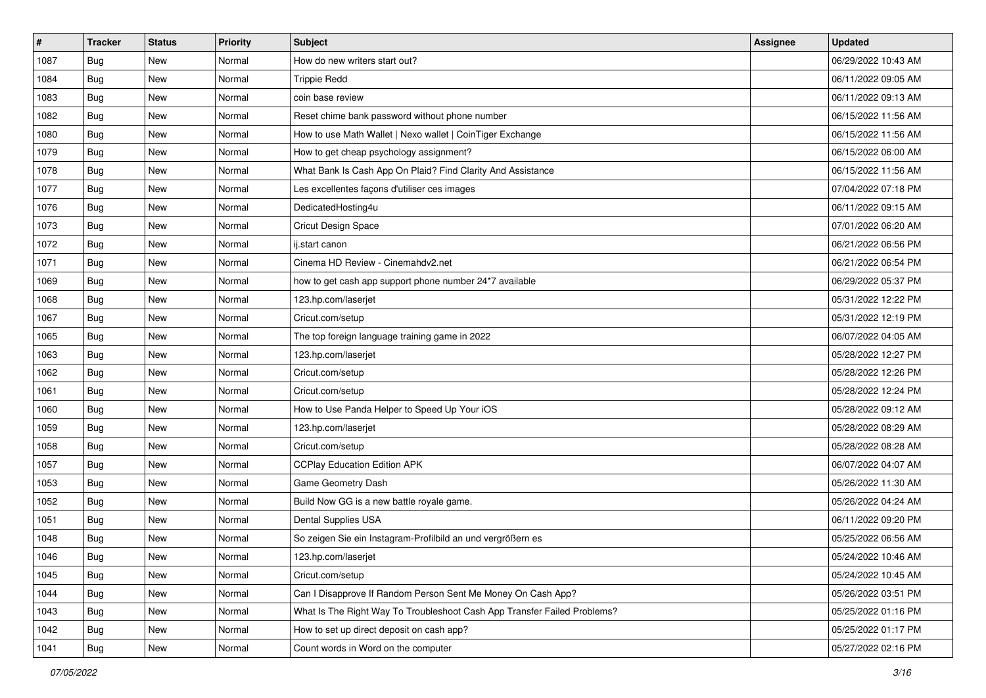| $\pmb{\#}$ | <b>Tracker</b> | <b>Status</b> | <b>Priority</b> | <b>Subject</b>                                                           | <b>Assignee</b> | <b>Updated</b>      |
|------------|----------------|---------------|-----------------|--------------------------------------------------------------------------|-----------------|---------------------|
| 1087       | Bug            | New           | Normal          | How do new writers start out?                                            |                 | 06/29/2022 10:43 AM |
| 1084       | <b>Bug</b>     | New           | Normal          | <b>Trippie Redd</b>                                                      |                 | 06/11/2022 09:05 AM |
| 1083       | <b>Bug</b>     | New           | Normal          | coin base review                                                         |                 | 06/11/2022 09:13 AM |
| 1082       | Bug            | New           | Normal          | Reset chime bank password without phone number                           |                 | 06/15/2022 11:56 AM |
| 1080       | Bug            | New           | Normal          | How to use Math Wallet   Nexo wallet   CoinTiger Exchange                |                 | 06/15/2022 11:56 AM |
| 1079       | Bug            | New           | Normal          | How to get cheap psychology assignment?                                  |                 | 06/15/2022 06:00 AM |
| 1078       | Bug            | <b>New</b>    | Normal          | What Bank Is Cash App On Plaid? Find Clarity And Assistance              |                 | 06/15/2022 11:56 AM |
| 1077       | Bug            | New           | Normal          | Les excellentes façons d'utiliser ces images                             |                 | 07/04/2022 07:18 PM |
| 1076       | <b>Bug</b>     | New           | Normal          | DedicatedHosting4u                                                       |                 | 06/11/2022 09:15 AM |
| 1073       | Bug            | <b>New</b>    | Normal          | Cricut Design Space                                                      |                 | 07/01/2022 06:20 AM |
| 1072       | <b>Bug</b>     | New           | Normal          | ij.start canon                                                           |                 | 06/21/2022 06:56 PM |
| 1071       | Bug            | New           | Normal          | Cinema HD Review - Cinemahdv2.net                                        |                 | 06/21/2022 06:54 PM |
| 1069       | Bug            | New           | Normal          | how to get cash app support phone number 24*7 available                  |                 | 06/29/2022 05:37 PM |
| 1068       | Bug            | New           | Normal          | 123.hp.com/laserjet                                                      |                 | 05/31/2022 12:22 PM |
| 1067       | Bug            | <b>New</b>    | Normal          | Cricut.com/setup                                                         |                 | 05/31/2022 12:19 PM |
| 1065       | <b>Bug</b>     | New           | Normal          | The top foreign language training game in 2022                           |                 | 06/07/2022 04:05 AM |
| 1063       | Bug            | New           | Normal          | 123.hp.com/laserjet                                                      |                 | 05/28/2022 12:27 PM |
| 1062       | Bug            | New           | Normal          | Cricut.com/setup                                                         |                 | 05/28/2022 12:26 PM |
| 1061       | Bug            | New           | Normal          | Cricut.com/setup                                                         |                 | 05/28/2022 12:24 PM |
| 1060       | Bug            | New           | Normal          | How to Use Panda Helper to Speed Up Your iOS                             |                 | 05/28/2022 09:12 AM |
| 1059       | <b>Bug</b>     | New           | Normal          | 123.hp.com/laserjet                                                      |                 | 05/28/2022 08:29 AM |
| 1058       | <b>Bug</b>     | New           | Normal          | Cricut.com/setup                                                         |                 | 05/28/2022 08:28 AM |
| 1057       | Bug            | <b>New</b>    | Normal          | <b>CCPlay Education Edition APK</b>                                      |                 | 06/07/2022 04:07 AM |
| 1053       | Bug            | New           | Normal          | Game Geometry Dash                                                       |                 | 05/26/2022 11:30 AM |
| 1052       | <b>Bug</b>     | New           | Normal          | Build Now GG is a new battle royale game.                                |                 | 05/26/2022 04:24 AM |
| 1051       | Bug            | New           | Normal          | Dental Supplies USA                                                      |                 | 06/11/2022 09:20 PM |
| 1048       | <b>Bug</b>     | <b>New</b>    | Normal          | So zeigen Sie ein Instagram-Profilbild an und vergrößern es              |                 | 05/25/2022 06:56 AM |
| 1046       | I Bug          | New           | Normal          | 123.hp.com/laserjet                                                      |                 | 05/24/2022 10:46 AM |
| 1045       | <b>Bug</b>     | New           | Normal          | Cricut.com/setup                                                         |                 | 05/24/2022 10:45 AM |
| 1044       | Bug            | New           | Normal          | Can I Disapprove If Random Person Sent Me Money On Cash App?             |                 | 05/26/2022 03:51 PM |
| 1043       | <b>Bug</b>     | New           | Normal          | What Is The Right Way To Troubleshoot Cash App Transfer Failed Problems? |                 | 05/25/2022 01:16 PM |
| 1042       | Bug            | New           | Normal          | How to set up direct deposit on cash app?                                |                 | 05/25/2022 01:17 PM |
| 1041       | Bug            | New           | Normal          | Count words in Word on the computer                                      |                 | 05/27/2022 02:16 PM |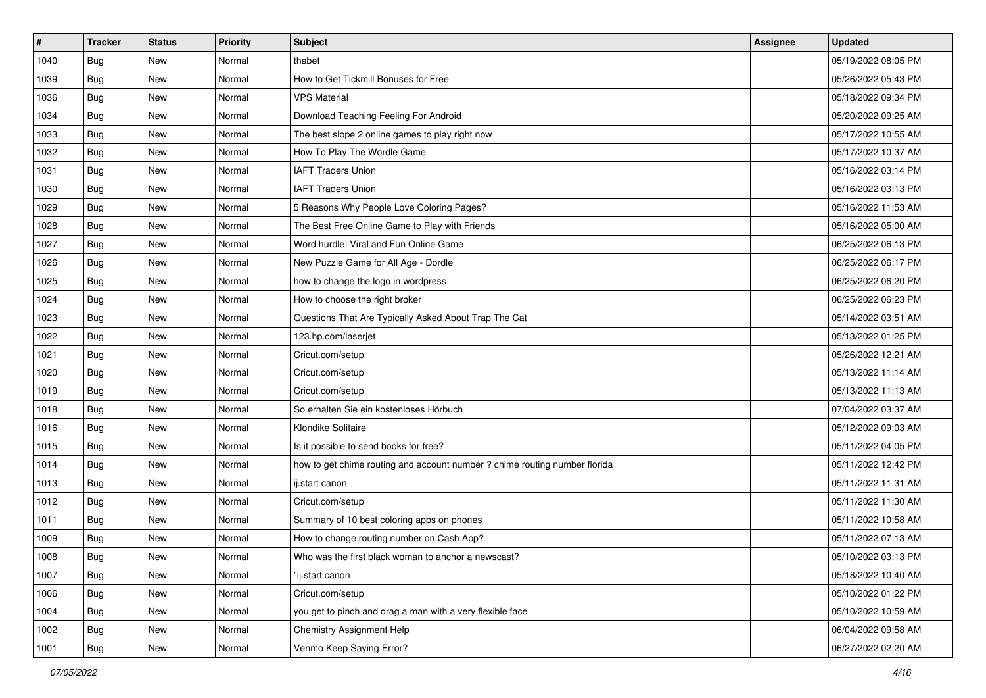| $\pmb{\#}$ | <b>Tracker</b> | <b>Status</b> | <b>Priority</b> | <b>Subject</b>                                                             | <b>Assignee</b> | <b>Updated</b>      |
|------------|----------------|---------------|-----------------|----------------------------------------------------------------------------|-----------------|---------------------|
| 1040       | <b>Bug</b>     | New           | Normal          | thabet                                                                     |                 | 05/19/2022 08:05 PM |
| 1039       | Bug            | <b>New</b>    | Normal          | How to Get Tickmill Bonuses for Free                                       |                 | 05/26/2022 05:43 PM |
| 1036       | Bug            | New           | Normal          | <b>VPS Material</b>                                                        |                 | 05/18/2022 09:34 PM |
| 1034       | <b>Bug</b>     | New           | Normal          | Download Teaching Feeling For Android                                      |                 | 05/20/2022 09:25 AM |
| 1033       | Bug            | New           | Normal          | The best slope 2 online games to play right now                            |                 | 05/17/2022 10:55 AM |
| 1032       | <b>Bug</b>     | New           | Normal          | How To Play The Wordle Game                                                |                 | 05/17/2022 10:37 AM |
| 1031       | Bug            | New           | Normal          | <b>IAFT Traders Union</b>                                                  |                 | 05/16/2022 03:14 PM |
| 1030       | <b>Bug</b>     | New           | Normal          | <b>IAFT Traders Union</b>                                                  |                 | 05/16/2022 03:13 PM |
| 1029       | <b>Bug</b>     | New           | Normal          | 5 Reasons Why People Love Coloring Pages?                                  |                 | 05/16/2022 11:53 AM |
| 1028       | Bug            | <b>New</b>    | Normal          | The Best Free Online Game to Play with Friends                             |                 | 05/16/2022 05:00 AM |
| 1027       | Bug            | New           | Normal          | Word hurdle: Viral and Fun Online Game                                     |                 | 06/25/2022 06:13 PM |
| 1026       | <b>Bug</b>     | New           | Normal          | New Puzzle Game for All Age - Dordle                                       |                 | 06/25/2022 06:17 PM |
| 1025       | Bug            | <b>New</b>    | Normal          | how to change the logo in wordpress                                        |                 | 06/25/2022 06:20 PM |
| 1024       | Bug            | New           | Normal          | How to choose the right broker                                             |                 | 06/25/2022 06:23 PM |
| 1023       | Bug            | <b>New</b>    | Normal          | Questions That Are Typically Asked About Trap The Cat                      |                 | 05/14/2022 03:51 AM |
| 1022       | Bug            | New           | Normal          | 123.hp.com/laserjet                                                        |                 | 05/13/2022 01:25 PM |
| 1021       | <b>Bug</b>     | New           | Normal          | Cricut.com/setup                                                           |                 | 05/26/2022 12:21 AM |
| 1020       | Bug            | <b>New</b>    | Normal          | Cricut.com/setup                                                           |                 | 05/13/2022 11:14 AM |
| 1019       | <b>Bug</b>     | New           | Normal          | Cricut.com/setup                                                           |                 | 05/13/2022 11:13 AM |
| 1018       | <b>Bug</b>     | <b>New</b>    | Normal          | So erhalten Sie ein kostenloses Hörbuch                                    |                 | 07/04/2022 03:37 AM |
| 1016       | Bug            | New           | Normal          | Klondike Solitaire                                                         |                 | 05/12/2022 09:03 AM |
| 1015       | Bug            | New           | Normal          | Is it possible to send books for free?                                     |                 | 05/11/2022 04:05 PM |
| 1014       | Bug            | <b>New</b>    | Normal          | how to get chime routing and account number ? chime routing number florida |                 | 05/11/2022 12:42 PM |
| 1013       | Bug            | New           | Normal          | ij.start canon                                                             |                 | 05/11/2022 11:31 AM |
| 1012       | Bug            | New           | Normal          | Cricut.com/setup                                                           |                 | 05/11/2022 11:30 AM |
| 1011       | <b>Bug</b>     | New           | Normal          | Summary of 10 best coloring apps on phones                                 |                 | 05/11/2022 10:58 AM |
| 1009       | Bug            | New           | Normal          | How to change routing number on Cash App?                                  |                 | 05/11/2022 07:13 AM |
| 1008       | <b>Bug</b>     | New           | Normal          | Who was the first black woman to anchor a newscast?                        |                 | 05/10/2022 03:13 PM |
| 1007       | Bug            | New           | Normal          | "ij.start canon                                                            |                 | 05/18/2022 10:40 AM |
| 1006       | Bug            | New           | Normal          | Cricut.com/setup                                                           |                 | 05/10/2022 01:22 PM |
| 1004       | Bug            | New           | Normal          | you get to pinch and drag a man with a very flexible face                  |                 | 05/10/2022 10:59 AM |
| 1002       | Bug            | New           | Normal          | <b>Chemistry Assignment Help</b>                                           |                 | 06/04/2022 09:58 AM |
| 1001       | Bug            | New           | Normal          | Venmo Keep Saying Error?                                                   |                 | 06/27/2022 02:20 AM |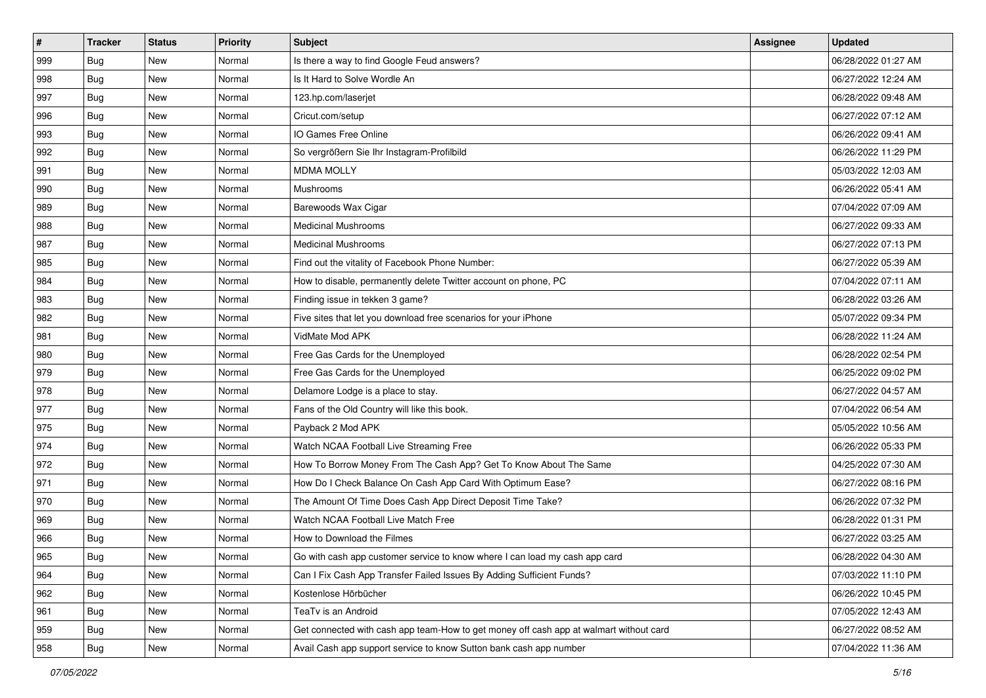| #   | <b>Tracker</b> | <b>Status</b> | <b>Priority</b> | Subject                                                                                | <b>Assignee</b> | <b>Updated</b>      |
|-----|----------------|---------------|-----------------|----------------------------------------------------------------------------------------|-----------------|---------------------|
| 999 | Bug            | New           | Normal          | Is there a way to find Google Feud answers?                                            |                 | 06/28/2022 01:27 AM |
| 998 | Bug            | <b>New</b>    | Normal          | Is It Hard to Solve Wordle An                                                          |                 | 06/27/2022 12:24 AM |
| 997 | Bug            | New           | Normal          | 123.hp.com/laserjet                                                                    |                 | 06/28/2022 09:48 AM |
| 996 | Bug            | <b>New</b>    | Normal          | Cricut.com/setup                                                                       |                 | 06/27/2022 07:12 AM |
| 993 | Bug            | <b>New</b>    | Normal          | IO Games Free Online                                                                   |                 | 06/26/2022 09:41 AM |
| 992 | Bug            | New           | Normal          | So vergrößern Sie Ihr Instagram-Profilbild                                             |                 | 06/26/2022 11:29 PM |
| 991 | Bug            | New           | Normal          | <b>MDMA MOLLY</b>                                                                      |                 | 05/03/2022 12:03 AM |
| 990 | <b>Bug</b>     | New           | Normal          | Mushrooms                                                                              |                 | 06/26/2022 05:41 AM |
| 989 | Bug            | <b>New</b>    | Normal          | Barewoods Wax Cigar                                                                    |                 | 07/04/2022 07:09 AM |
| 988 | Bug            | <b>New</b>    | Normal          | <b>Medicinal Mushrooms</b>                                                             |                 | 06/27/2022 09:33 AM |
| 987 | <b>Bug</b>     | New           | Normal          | <b>Medicinal Mushrooms</b>                                                             |                 | 06/27/2022 07:13 PM |
| 985 | Bug            | New           | Normal          | Find out the vitality of Facebook Phone Number:                                        |                 | 06/27/2022 05:39 AM |
| 984 | Bug            | New           | Normal          | How to disable, permanently delete Twitter account on phone, PC                        |                 | 07/04/2022 07:11 AM |
| 983 | Bug            | <b>New</b>    | Normal          | Finding issue in tekken 3 game?                                                        |                 | 06/28/2022 03:26 AM |
| 982 | Bug            | New           | Normal          | Five sites that let you download free scenarios for your iPhone                        |                 | 05/07/2022 09:34 PM |
| 981 | Bug            | New           | Normal          | VidMate Mod APK                                                                        |                 | 06/28/2022 11:24 AM |
| 980 | <b>Bug</b>     | <b>New</b>    | Normal          | Free Gas Cards for the Unemployed                                                      |                 | 06/28/2022 02:54 PM |
| 979 | Bug            | <b>New</b>    | Normal          | Free Gas Cards for the Unemployed                                                      |                 | 06/25/2022 09:02 PM |
| 978 | Bug            | New           | Normal          | Delamore Lodge is a place to stay.                                                     |                 | 06/27/2022 04:57 AM |
| 977 | Bug            | <b>New</b>    | Normal          | Fans of the Old Country will like this book.                                           |                 | 07/04/2022 06:54 AM |
| 975 | <b>Bug</b>     | New           | Normal          | Payback 2 Mod APK                                                                      |                 | 05/05/2022 10:56 AM |
| 974 | Bug            | <b>New</b>    | Normal          | Watch NCAA Football Live Streaming Free                                                |                 | 06/26/2022 05:33 PM |
| 972 | Bug            | <b>New</b>    | Normal          | How To Borrow Money From The Cash App? Get To Know About The Same                      |                 | 04/25/2022 07:30 AM |
| 971 | <b>Bug</b>     | New           | Normal          | How Do I Check Balance On Cash App Card With Optimum Ease?                             |                 | 06/27/2022 08:16 PM |
| 970 | Bug            | <b>New</b>    | Normal          | The Amount Of Time Does Cash App Direct Deposit Time Take?                             |                 | 06/26/2022 07:32 PM |
| 969 | <b>Bug</b>     | New           | Normal          | Watch NCAA Football Live Match Free                                                    |                 | 06/28/2022 01:31 PM |
| 966 | Bug            | New           | Normal          | How to Download the Filmes                                                             |                 | 06/27/2022 03:25 AM |
| 965 | <b>Bug</b>     | New           | Normal          | Go with cash app customer service to know where I can load my cash app card            |                 | 06/28/2022 04:30 AM |
| 964 | <b>Bug</b>     | New           | Normal          | Can I Fix Cash App Transfer Failed Issues By Adding Sufficient Funds?                  |                 | 07/03/2022 11:10 PM |
| 962 | Bug            | New           | Normal          | Kostenlose Hörbücher                                                                   |                 | 06/26/2022 10:45 PM |
| 961 | Bug            | New           | Normal          | TeaTv is an Android                                                                    |                 | 07/05/2022 12:43 AM |
| 959 | Bug            | New           | Normal          | Get connected with cash app team-How to get money off cash app at walmart without card |                 | 06/27/2022 08:52 AM |
| 958 | <b>Bug</b>     | New           | Normal          | Avail Cash app support service to know Sutton bank cash app number                     |                 | 07/04/2022 11:36 AM |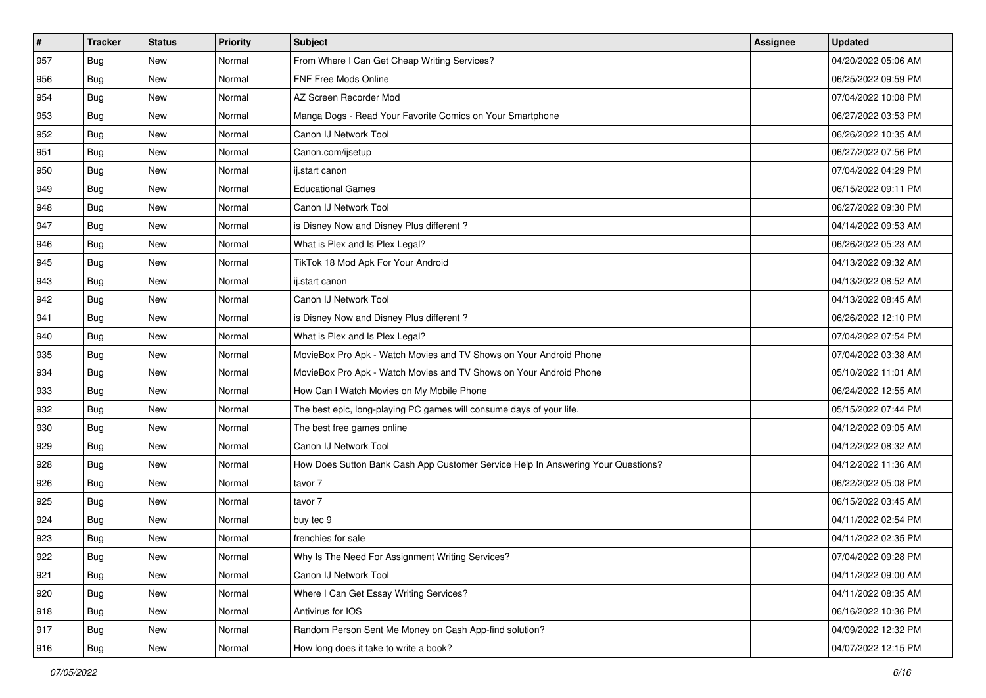| #             | <b>Tracker</b> | <b>Status</b> | <b>Priority</b> | Subject                                                                          | <b>Assignee</b> | <b>Updated</b>      |
|---------------|----------------|---------------|-----------------|----------------------------------------------------------------------------------|-----------------|---------------------|
| 957           | <b>Bug</b>     | New           | Normal          | From Where I Can Get Cheap Writing Services?                                     |                 | 04/20/2022 05:06 AM |
| 956           | Bug            | New           | Normal          | <b>FNF Free Mods Online</b>                                                      |                 | 06/25/2022 09:59 PM |
| 954           | <b>Bug</b>     | New           | Normal          | AZ Screen Recorder Mod                                                           |                 | 07/04/2022 10:08 PM |
| 953           | <b>Bug</b>     | New           | Normal          | Manga Dogs - Read Your Favorite Comics on Your Smartphone                        |                 | 06/27/2022 03:53 PM |
| 952           | <b>Bug</b>     | <b>New</b>    | Normal          | Canon IJ Network Tool                                                            |                 | 06/26/2022 10:35 AM |
| 951           | <b>Bug</b>     | New           | Normal          | Canon.com/ijsetup                                                                |                 | 06/27/2022 07:56 PM |
| 950           | <b>Bug</b>     | <b>New</b>    | Normal          | ij.start canon                                                                   |                 | 07/04/2022 04:29 PM |
| 949           | <b>Bug</b>     | New           | Normal          | <b>Educational Games</b>                                                         |                 | 06/15/2022 09:11 PM |
| 948           | <b>Bug</b>     | <b>New</b>    | Normal          | Canon IJ Network Tool                                                            |                 | 06/27/2022 09:30 PM |
| 947           | <b>Bug</b>     | New           | Normal          | is Disney Now and Disney Plus different?                                         |                 | 04/14/2022 09:53 AM |
| 946           | Bug            | New           | Normal          | What is Plex and Is Plex Legal?                                                  |                 | 06/26/2022 05:23 AM |
| 945           | <b>Bug</b>     | New           | Normal          | TikTok 18 Mod Apk For Your Android                                               |                 | 04/13/2022 09:32 AM |
| 943           | <b>Bug</b>     | <b>New</b>    | Normal          | ij.start canon                                                                   |                 | 04/13/2022 08:52 AM |
| 942           | <b>Bug</b>     | <b>New</b>    | Normal          | Canon IJ Network Tool                                                            |                 | 04/13/2022 08:45 AM |
| 941           | <b>Bug</b>     | New           | Normal          | is Disney Now and Disney Plus different?                                         |                 | 06/26/2022 12:10 PM |
| 940           | Bug            | New           | Normal          | What is Plex and Is Plex Legal?                                                  |                 | 07/04/2022 07:54 PM |
| 935           | <b>Bug</b>     | New           | Normal          | MovieBox Pro Apk - Watch Movies and TV Shows on Your Android Phone               |                 | 07/04/2022 03:38 AM |
| 934           | Bug            | <b>New</b>    | Normal          | MovieBox Pro Apk - Watch Movies and TV Shows on Your Android Phone               |                 | 05/10/2022 11:01 AM |
| 933           | <b>Bug</b>     | New           | Normal          | How Can I Watch Movies on My Mobile Phone                                        |                 | 06/24/2022 12:55 AM |
| 932           | <b>Bug</b>     | New           | Normal          | The best epic, long-playing PC games will consume days of your life.             |                 | 05/15/2022 07:44 PM |
| 930           | <b>Bug</b>     | New           | Normal          | The best free games online                                                       |                 | 04/12/2022 09:05 AM |
| 929           | <b>Bug</b>     | New           | Normal          | Canon IJ Network Tool                                                            |                 | 04/12/2022 08:32 AM |
| 928           | Bug            | <b>New</b>    | Normal          | How Does Sutton Bank Cash App Customer Service Help In Answering Your Questions? |                 | 04/12/2022 11:36 AM |
| 926           | <b>Bug</b>     | New           | Normal          | tavor 7                                                                          |                 | 06/22/2022 05:08 PM |
| 925           | <b>Bug</b>     | New           | Normal          | tavor 7                                                                          |                 | 06/15/2022 03:45 AM |
| 924           | <b>Bug</b>     | New           | Normal          | buy tec 9                                                                        |                 | 04/11/2022 02:54 PM |
| 923           | <b>Bug</b>     | New           | Normal          | frenchies for sale                                                               |                 | 04/11/2022 02:35 PM |
| 922           | I Bug          | New           | Normal          | Why Is The Need For Assignment Writing Services?                                 |                 | 07/04/2022 09:28 PM |
| 921           | Bug            | New           | Normal          | Canon IJ Network Tool                                                            |                 | 04/11/2022 09:00 AM |
| $ 920\rangle$ | Bug            | New           | Normal          | Where I Can Get Essay Writing Services?                                          |                 | 04/11/2022 08:35 AM |
| 918           | Bug            | New           | Normal          | Antivirus for IOS                                                                |                 | 06/16/2022 10:36 PM |
| 917           | <b>Bug</b>     | New           | Normal          | Random Person Sent Me Money on Cash App-find solution?                           |                 | 04/09/2022 12:32 PM |
| 916           | <b>Bug</b>     | New           | Normal          | How long does it take to write a book?                                           |                 | 04/07/2022 12:15 PM |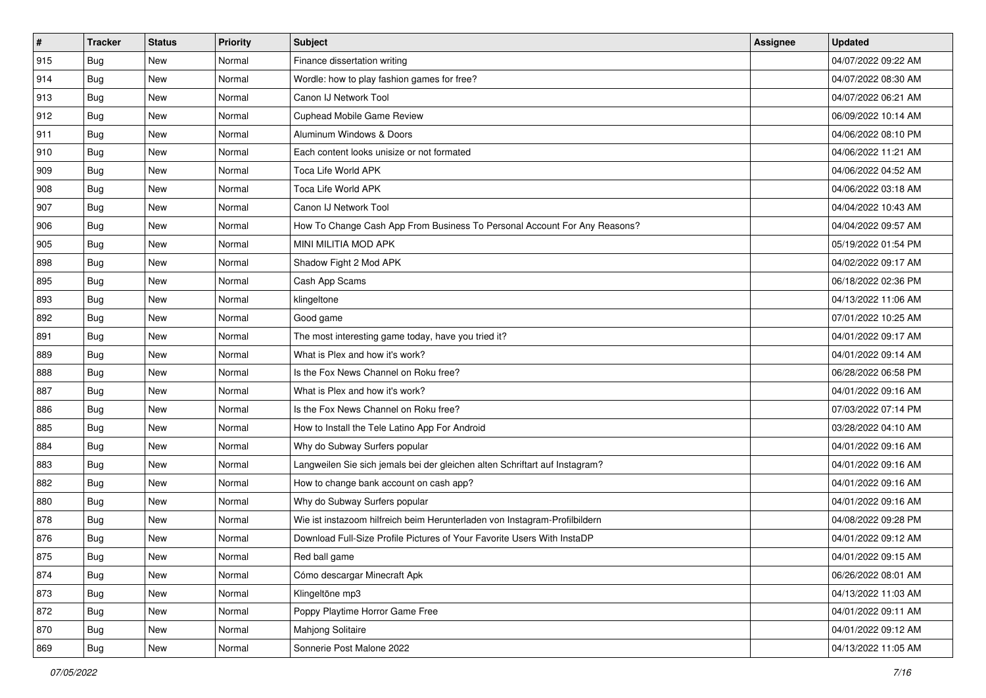| $\vert$ # | <b>Tracker</b> | <b>Status</b> | <b>Priority</b> | Subject                                                                     | <b>Assignee</b> | <b>Updated</b>      |
|-----------|----------------|---------------|-----------------|-----------------------------------------------------------------------------|-----------------|---------------------|
| 915       | <b>Bug</b>     | New           | Normal          | Finance dissertation writing                                                |                 | 04/07/2022 09:22 AM |
| 914       | <b>Bug</b>     | <b>New</b>    | Normal          | Wordle: how to play fashion games for free?                                 |                 | 04/07/2022 08:30 AM |
| 913       | Bug            | New           | Normal          | Canon IJ Network Tool                                                       |                 | 04/07/2022 06:21 AM |
| 912       | <b>Bug</b>     | New           | Normal          | Cuphead Mobile Game Review                                                  |                 | 06/09/2022 10:14 AM |
| 911       | <b>Bug</b>     | <b>New</b>    | Normal          | Aluminum Windows & Doors                                                    |                 | 04/06/2022 08:10 PM |
| 910       | <b>Bug</b>     | New           | Normal          | Each content looks unisize or not formated                                  |                 | 04/06/2022 11:21 AM |
| 909       | Bug            | New           | Normal          | Toca Life World APK                                                         |                 | 04/06/2022 04:52 AM |
| 908       | Bug            | New           | Normal          | Toca Life World APK                                                         |                 | 04/06/2022 03:18 AM |
| 907       | <b>Bug</b>     | New           | Normal          | Canon IJ Network Tool                                                       |                 | 04/04/2022 10:43 AM |
| 906       | Bug            | <b>New</b>    | Normal          | How To Change Cash App From Business To Personal Account For Any Reasons?   |                 | 04/04/2022 09:57 AM |
| 905       | <b>Bug</b>     | New           | Normal          | MINI MILITIA MOD APK                                                        |                 | 05/19/2022 01:54 PM |
| 898       | <b>Bug</b>     | New           | Normal          | Shadow Fight 2 Mod APK                                                      |                 | 04/02/2022 09:17 AM |
| 895       | <b>Bug</b>     | New           | Normal          | Cash App Scams                                                              |                 | 06/18/2022 02:36 PM |
| 893       | <b>Bug</b>     | <b>New</b>    | Normal          | klingeltone                                                                 |                 | 04/13/2022 11:06 AM |
| 892       | <b>Bug</b>     | <b>New</b>    | Normal          | Good game                                                                   |                 | 07/01/2022 10:25 AM |
| 891       | <b>Bug</b>     | New           | Normal          | The most interesting game today, have you tried it?                         |                 | 04/01/2022 09:17 AM |
| 889       | <b>Bug</b>     | New           | Normal          | What is Plex and how it's work?                                             |                 | 04/01/2022 09:14 AM |
| 888       | <b>Bug</b>     | <b>New</b>    | Normal          | Is the Fox News Channel on Roku free?                                       |                 | 06/28/2022 06:58 PM |
| 887       | <b>Bug</b>     | New           | Normal          | What is Plex and how it's work?                                             |                 | 04/01/2022 09:16 AM |
| 886       | <b>Bug</b>     | New           | Normal          | Is the Fox News Channel on Roku free?                                       |                 | 07/03/2022 07:14 PM |
| 885       | Bug            | New           | Normal          | How to Install the Tele Latino App For Android                              |                 | 03/28/2022 04:10 AM |
| 884       | <b>Bug</b>     | New           | Normal          | Why do Subway Surfers popular                                               |                 | 04/01/2022 09:16 AM |
| 883       | Bug            | <b>New</b>    | Normal          | Langweilen Sie sich jemals bei der gleichen alten Schriftart auf Instagram? |                 | 04/01/2022 09:16 AM |
| 882       | Bug            | New           | Normal          | How to change bank account on cash app?                                     |                 | 04/01/2022 09:16 AM |
| 880       | <b>Bug</b>     | New           | Normal          | Why do Subway Surfers popular                                               |                 | 04/01/2022 09:16 AM |
| 878       | Bug            | New           | Normal          | Wie ist instazoom hilfreich beim Herunterladen von Instagram-Profilbildern  |                 | 04/08/2022 09:28 PM |
| 876       | <b>Bug</b>     | New           | Normal          | Download Full-Size Profile Pictures of Your Favorite Users With InstaDP     |                 | 04/01/2022 09:12 AM |
| 875       | I Bug          | New           | Normal          | Red ball game                                                               |                 | 04/01/2022 09:15 AM |
| 874       | Bug            | New           | Normal          | Cómo descargar Minecraft Apk                                                |                 | 06/26/2022 08:01 AM |
| 873       | Bug            | New           | Normal          | Klingeltöne mp3                                                             |                 | 04/13/2022 11:03 AM |
| 872       | Bug            | New           | Normal          | Poppy Playtime Horror Game Free                                             |                 | 04/01/2022 09:11 AM |
| 870       | <b>Bug</b>     | New           | Normal          | Mahjong Solitaire                                                           |                 | 04/01/2022 09:12 AM |
| 869       | <b>Bug</b>     | New           | Normal          | Sonnerie Post Malone 2022                                                   |                 | 04/13/2022 11:05 AM |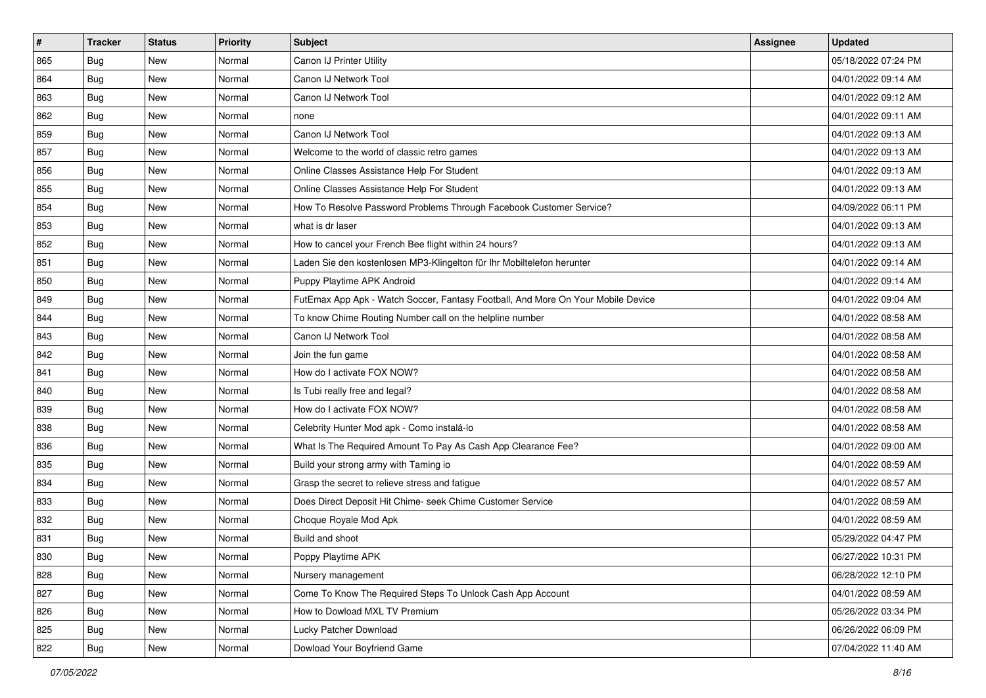| $\vert$ # | <b>Tracker</b> | <b>Status</b> | <b>Priority</b> | <b>Subject</b>                                                                   | <b>Assignee</b> | <b>Updated</b>      |
|-----------|----------------|---------------|-----------------|----------------------------------------------------------------------------------|-----------------|---------------------|
| 865       | <b>Bug</b>     | New           | Normal          | Canon IJ Printer Utility                                                         |                 | 05/18/2022 07:24 PM |
| 864       | <b>Bug</b>     | <b>New</b>    | Normal          | Canon IJ Network Tool                                                            |                 | 04/01/2022 09:14 AM |
| 863       | Bug            | New           | Normal          | Canon IJ Network Tool                                                            |                 | 04/01/2022 09:12 AM |
| 862       | <b>Bug</b>     | New           | Normal          | none                                                                             |                 | 04/01/2022 09:11 AM |
| 859       | <b>Bug</b>     | <b>New</b>    | Normal          | Canon IJ Network Tool                                                            |                 | 04/01/2022 09:13 AM |
| 857       | <b>Bug</b>     | New           | Normal          | Welcome to the world of classic retro games                                      |                 | 04/01/2022 09:13 AM |
| 856       | <b>Bug</b>     | New           | Normal          | Online Classes Assistance Help For Student                                       |                 | 04/01/2022 09:13 AM |
| 855       | Bug            | New           | Normal          | Online Classes Assistance Help For Student                                       |                 | 04/01/2022 09:13 AM |
| 854       | <b>Bug</b>     | New           | Normal          | How To Resolve Password Problems Through Facebook Customer Service?              |                 | 04/09/2022 06:11 PM |
| 853       | Bug            | <b>New</b>    | Normal          | what is dr laser                                                                 |                 | 04/01/2022 09:13 AM |
| 852       | <b>Bug</b>     | New           | Normal          | How to cancel your French Bee flight within 24 hours?                            |                 | 04/01/2022 09:13 AM |
| 851       | <b>Bug</b>     | New           | Normal          | Laden Sie den kostenlosen MP3-Klingelton für Ihr Mobiltelefon herunter           |                 | 04/01/2022 09:14 AM |
| 850       | <b>Bug</b>     | New           | Normal          | Puppy Playtime APK Android                                                       |                 | 04/01/2022 09:14 AM |
| 849       | <b>Bug</b>     | New           | Normal          | FutEmax App Apk - Watch Soccer, Fantasy Football, And More On Your Mobile Device |                 | 04/01/2022 09:04 AM |
| 844       | <b>Bug</b>     | New           | Normal          | To know Chime Routing Number call on the helpline number                         |                 | 04/01/2022 08:58 AM |
| 843       | Bug            | New           | Normal          | Canon IJ Network Tool                                                            |                 | 04/01/2022 08:58 AM |
| 842       | <b>Bug</b>     | New           | Normal          | Join the fun game                                                                |                 | 04/01/2022 08:58 AM |
| 841       | <b>Bug</b>     | New           | Normal          | How do I activate FOX NOW?                                                       |                 | 04/01/2022 08:58 AM |
| 840       | <b>Bug</b>     | New           | Normal          | Is Tubi really free and legal?                                                   |                 | 04/01/2022 08:58 AM |
| 839       | <b>Bug</b>     | New           | Normal          | How do I activate FOX NOW?                                                       |                 | 04/01/2022 08:58 AM |
| 838       | Bug            | New           | Normal          | Celebrity Hunter Mod apk - Como instalá-lo                                       |                 | 04/01/2022 08:58 AM |
| 836       | <b>Bug</b>     | New           | Normal          | What Is The Required Amount To Pay As Cash App Clearance Fee?                    |                 | 04/01/2022 09:00 AM |
| 835       | Bug            | <b>New</b>    | Normal          | Build your strong army with Taming io                                            |                 | 04/01/2022 08:59 AM |
| 834       | Bug            | New           | Normal          | Grasp the secret to relieve stress and fatigue                                   |                 | 04/01/2022 08:57 AM |
| 833       | <b>Bug</b>     | New           | Normal          | Does Direct Deposit Hit Chime- seek Chime Customer Service                       |                 | 04/01/2022 08:59 AM |
| 832       | Bug            | New           | Normal          | Choque Royale Mod Apk                                                            |                 | 04/01/2022 08:59 AM |
| 831       | <b>Bug</b>     | New           | Normal          | Build and shoot                                                                  |                 | 05/29/2022 04:47 PM |
| 830       | I Bug          | New           | Normal          | Poppy Playtime APK                                                               |                 | 06/27/2022 10:31 PM |
| 828       | Bug            | New           | Normal          | Nursery management                                                               |                 | 06/28/2022 12:10 PM |
| 827       | Bug            | New           | Normal          | Come To Know The Required Steps To Unlock Cash App Account                       |                 | 04/01/2022 08:59 AM |
| 826       | Bug            | New           | Normal          | How to Dowload MXL TV Premium                                                    |                 | 05/26/2022 03:34 PM |
| 825       | <b>Bug</b>     | New           | Normal          | Lucky Patcher Download                                                           |                 | 06/26/2022 06:09 PM |
| 822       | <b>Bug</b>     | New           | Normal          | Dowload Your Boyfriend Game                                                      |                 | 07/04/2022 11:40 AM |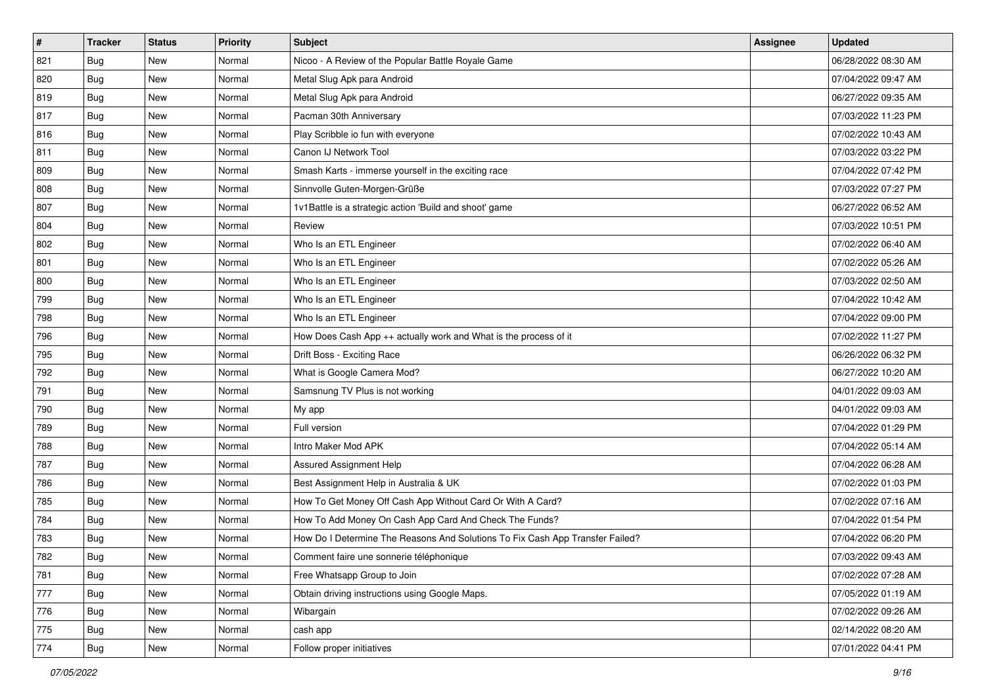| #   | <b>Tracker</b> | <b>Status</b> | <b>Priority</b> | Subject                                                                       | <b>Assignee</b> | <b>Updated</b>      |
|-----|----------------|---------------|-----------------|-------------------------------------------------------------------------------|-----------------|---------------------|
| 821 | <b>Bug</b>     | New           | Normal          | Nicoo - A Review of the Popular Battle Royale Game                            |                 | 06/28/2022 08:30 AM |
| 820 | <b>Bug</b>     | New           | Normal          | Metal Slug Apk para Android                                                   |                 | 07/04/2022 09:47 AM |
| 819 | Bug            | New           | Normal          | Metal Slug Apk para Android                                                   |                 | 06/27/2022 09:35 AM |
| 817 | <b>Bug</b>     | New           | Normal          | Pacman 30th Anniversary                                                       |                 | 07/03/2022 11:23 PM |
| 816 | <b>Bug</b>     | New           | Normal          | Play Scribble io fun with everyone                                            |                 | 07/02/2022 10:43 AM |
| 811 | Bug            | New           | Normal          | Canon IJ Network Tool                                                         |                 | 07/03/2022 03:22 PM |
| 809 | Bug            | New           | Normal          | Smash Karts - immerse yourself in the exciting race                           |                 | 07/04/2022 07:42 PM |
| 808 | Bug            | New           | Normal          | Sinnvolle Guten-Morgen-Grüße                                                  |                 | 07/03/2022 07:27 PM |
| 807 | <b>Bug</b>     | New           | Normal          | 1v1Battle is a strategic action 'Build and shoot' game                        |                 | 06/27/2022 06:52 AM |
| 804 | Bug            | <b>New</b>    | Normal          | Review                                                                        |                 | 07/03/2022 10:51 PM |
| 802 | <b>Bug</b>     | New           | Normal          | Who Is an ETL Engineer                                                        |                 | 07/02/2022 06:40 AM |
| 801 | <b>Bug</b>     | New           | Normal          | Who Is an ETL Engineer                                                        |                 | 07/02/2022 05:26 AM |
| 800 | <b>Bug</b>     | New           | Normal          | Who Is an ETL Engineer                                                        |                 | 07/03/2022 02:50 AM |
| 799 | <b>Bug</b>     | New           | Normal          | Who Is an ETL Engineer                                                        |                 | 07/04/2022 10:42 AM |
| 798 | <b>Bug</b>     | New           | Normal          | Who Is an ETL Engineer                                                        |                 | 07/04/2022 09:00 PM |
| 796 | <b>Bug</b>     | New           | Normal          | How Does Cash App ++ actually work and What is the process of it              |                 | 07/02/2022 11:27 PM |
| 795 | <b>Bug</b>     | New           | Normal          | Drift Boss - Exciting Race                                                    |                 | 06/26/2022 06:32 PM |
| 792 | <b>Bug</b>     | New           | Normal          | What is Google Camera Mod?                                                    |                 | 06/27/2022 10:20 AM |
| 791 | <b>Bug</b>     | New           | Normal          | Samsnung TV Plus is not working                                               |                 | 04/01/2022 09:03 AM |
| 790 | <b>Bug</b>     | New           | Normal          | My app                                                                        |                 | 04/01/2022 09:03 AM |
| 789 | Bug            | New           | Normal          | Full version                                                                  |                 | 07/04/2022 01:29 PM |
| 788 | <b>Bug</b>     | New           | Normal          | Intro Maker Mod APK                                                           |                 | 07/04/2022 05:14 AM |
| 787 | Bug            | <b>New</b>    | Normal          | Assured Assignment Help                                                       |                 | 07/04/2022 06:28 AM |
| 786 | Bug            | New           | Normal          | Best Assignment Help in Australia & UK                                        |                 | 07/02/2022 01:03 PM |
| 785 | <b>Bug</b>     | New           | Normal          | How To Get Money Off Cash App Without Card Or With A Card?                    |                 | 07/02/2022 07:16 AM |
| 784 | Bug            | New           | Normal          | How To Add Money On Cash App Card And Check The Funds?                        |                 | 07/04/2022 01:54 PM |
| 783 | <b>Bug</b>     | New           | Normal          | How Do I Determine The Reasons And Solutions To Fix Cash App Transfer Failed? |                 | 07/04/2022 06:20 PM |
| 782 | I Bug          | New           | Normal          | Comment faire une sonnerie téléphonique                                       |                 | 07/03/2022 09:43 AM |
| 781 | Bug            | New           | Normal          | Free Whatsapp Group to Join                                                   |                 | 07/02/2022 07:28 AM |
| 777 | Bug            | New           | Normal          | Obtain driving instructions using Google Maps.                                |                 | 07/05/2022 01:19 AM |
| 776 | Bug            | New           | Normal          | Wibargain                                                                     |                 | 07/02/2022 09:26 AM |
| 775 | Bug            | New           | Normal          | cash app                                                                      |                 | 02/14/2022 08:20 AM |
| 774 | Bug            | New           | Normal          | Follow proper initiatives                                                     |                 | 07/01/2022 04:41 PM |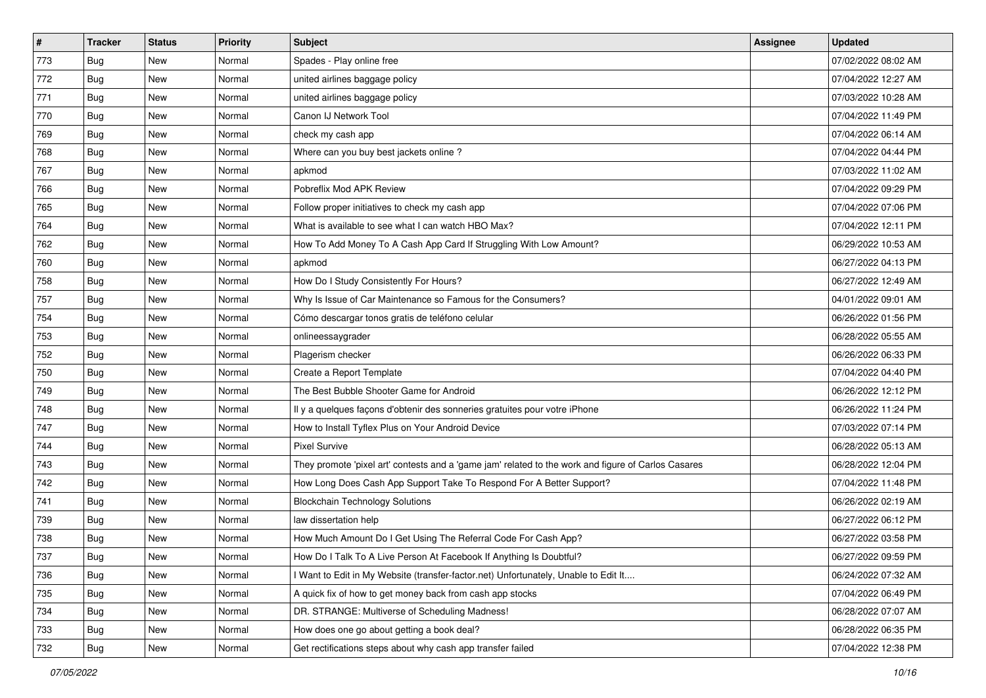| $\vert$ # | <b>Tracker</b> | <b>Status</b> | <b>Priority</b> | Subject                                                                                             | <b>Assignee</b> | <b>Updated</b>      |
|-----------|----------------|---------------|-----------------|-----------------------------------------------------------------------------------------------------|-----------------|---------------------|
| 773       | <b>Bug</b>     | New           | Normal          | Spades - Play online free                                                                           |                 | 07/02/2022 08:02 AM |
| 772       | Bug            | <b>New</b>    | Normal          | united airlines baggage policy                                                                      |                 | 07/04/2022 12:27 AM |
| 771       | Bug            | New           | Normal          | united airlines baggage policy                                                                      |                 | 07/03/2022 10:28 AM |
| 770       | <b>Bug</b>     | New           | Normal          | Canon IJ Network Tool                                                                               |                 | 07/04/2022 11:49 PM |
| 769       | Bug            | New           | Normal          | check my cash app                                                                                   |                 | 07/04/2022 06:14 AM |
| 768       | <b>Bug</b>     | New           | Normal          | Where can you buy best jackets online?                                                              |                 | 07/04/2022 04:44 PM |
| 767       | Bug            | New           | Normal          | apkmod                                                                                              |                 | 07/03/2022 11:02 AM |
| 766       | <b>Bug</b>     | New           | Normal          | Pobreflix Mod APK Review                                                                            |                 | 07/04/2022 09:29 PM |
| 765       | <b>Bug</b>     | New           | Normal          | Follow proper initiatives to check my cash app                                                      |                 | 07/04/2022 07:06 PM |
| 764       | Bug            | <b>New</b>    | Normal          | What is available to see what I can watch HBO Max?                                                  |                 | 07/04/2022 12:11 PM |
| 762       | <b>Bug</b>     | New           | Normal          | How To Add Money To A Cash App Card If Struggling With Low Amount?                                  |                 | 06/29/2022 10:53 AM |
| 760       | <b>Bug</b>     | New           | Normal          | apkmod                                                                                              |                 | 06/27/2022 04:13 PM |
| 758       | Bug            | New           | Normal          | How Do I Study Consistently For Hours?                                                              |                 | 06/27/2022 12:49 AM |
| 757       | <b>Bug</b>     | New           | Normal          | Why Is Issue of Car Maintenance so Famous for the Consumers?                                        |                 | 04/01/2022 09:01 AM |
| 754       | <b>Bug</b>     | New           | Normal          | Cómo descargar tonos gratis de teléfono celular                                                     |                 | 06/26/2022 01:56 PM |
| 753       | Bug            | New           | Normal          | onlineessaygrader                                                                                   |                 | 06/28/2022 05:55 AM |
| 752       | <b>Bug</b>     | New           | Normal          | Plagerism checker                                                                                   |                 | 06/26/2022 06:33 PM |
| 750       | <b>Bug</b>     | New           | Normal          | Create a Report Template                                                                            |                 | 07/04/2022 04:40 PM |
| 749       | Bug            | New           | Normal          | The Best Bubble Shooter Game for Android                                                            |                 | 06/26/2022 12:12 PM |
| 748       | <b>Bug</b>     | <b>New</b>    | Normal          | Il y a quelques façons d'obtenir des sonneries gratuites pour votre iPhone                          |                 | 06/26/2022 11:24 PM |
| 747       | <b>Bug</b>     | New           | Normal          | How to Install Tyflex Plus on Your Android Device                                                   |                 | 07/03/2022 07:14 PM |
| 744       | <b>Bug</b>     | New           | Normal          | <b>Pixel Survive</b>                                                                                |                 | 06/28/2022 05:13 AM |
| 743       | Bug            | New           | Normal          | They promote 'pixel art' contests and a 'game jam' related to the work and figure of Carlos Casares |                 | 06/28/2022 12:04 PM |
| 742       | <b>Bug</b>     | New           | Normal          | How Long Does Cash App Support Take To Respond For A Better Support?                                |                 | 07/04/2022 11:48 PM |
| 741       | <b>Bug</b>     | New           | Normal          | <b>Blockchain Technology Solutions</b>                                                              |                 | 06/26/2022 02:19 AM |
| 739       | Bug            | New           | Normal          | law dissertation help                                                                               |                 | 06/27/2022 06:12 PM |
| 738       | <b>Bug</b>     | New           | Normal          | How Much Amount Do I Get Using The Referral Code For Cash App?                                      |                 | 06/27/2022 03:58 PM |
| 737       | I Bug          | New           | Normal          | How Do I Talk To A Live Person At Facebook If Anything Is Doubtful?                                 |                 | 06/27/2022 09:59 PM |
| 736       | Bug            | New           | Normal          | I Want to Edit in My Website (transfer-factor.net) Unfortunately, Unable to Edit It                 |                 | 06/24/2022 07:32 AM |
| 735       | Bug            | New           | Normal          | A quick fix of how to get money back from cash app stocks                                           |                 | 07/04/2022 06:49 PM |
| 734       | Bug            | New           | Normal          | DR. STRANGE: Multiverse of Scheduling Madness!                                                      |                 | 06/28/2022 07:07 AM |
| 733       | <b>Bug</b>     | New           | Normal          | How does one go about getting a book deal?                                                          |                 | 06/28/2022 06:35 PM |
| 732       | <b>Bug</b>     | New           | Normal          | Get rectifications steps about why cash app transfer failed                                         |                 | 07/04/2022 12:38 PM |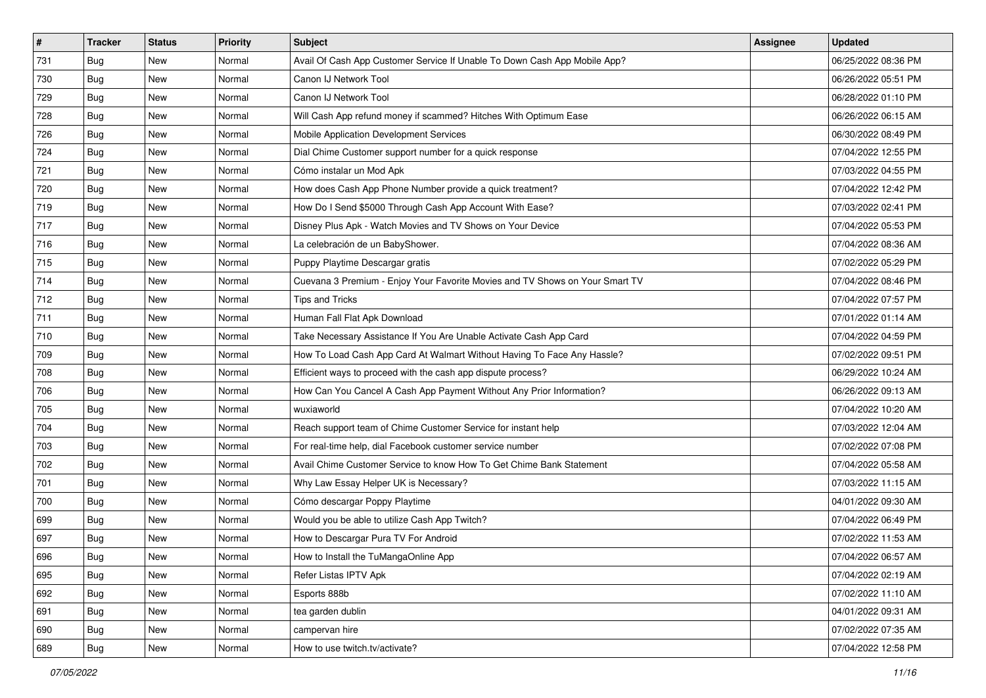| $\sharp$ | <b>Tracker</b> | <b>Status</b> | <b>Priority</b> | Subject                                                                      | <b>Assignee</b> | <b>Updated</b>      |
|----------|----------------|---------------|-----------------|------------------------------------------------------------------------------|-----------------|---------------------|
| 731      | <b>Bug</b>     | New           | Normal          | Avail Of Cash App Customer Service If Unable To Down Cash App Mobile App?    |                 | 06/25/2022 08:36 PM |
| 730      | <b>Bug</b>     | New           | Normal          | Canon IJ Network Tool                                                        |                 | 06/26/2022 05:51 PM |
| 729      | Bug            | New           | Normal          | Canon IJ Network Tool                                                        |                 | 06/28/2022 01:10 PM |
| 728      | Bug            | New           | Normal          | Will Cash App refund money if scammed? Hitches With Optimum Ease             |                 | 06/26/2022 06:15 AM |
| 726      | Bug            | New           | Normal          | Mobile Application Development Services                                      |                 | 06/30/2022 08:49 PM |
| 724      | <b>Bug</b>     | New           | Normal          | Dial Chime Customer support number for a quick response                      |                 | 07/04/2022 12:55 PM |
| 721      | Bug            | New           | Normal          | Cómo instalar un Mod Apk                                                     |                 | 07/03/2022 04:55 PM |
| 720      | <b>Bug</b>     | <b>New</b>    | Normal          | How does Cash App Phone Number provide a quick treatment?                    |                 | 07/04/2022 12:42 PM |
| 719      | Bug            | New           | Normal          | How Do I Send \$5000 Through Cash App Account With Ease?                     |                 | 07/03/2022 02:41 PM |
| 717      | Bug            | <b>New</b>    | Normal          | Disney Plus Apk - Watch Movies and TV Shows on Your Device                   |                 | 07/04/2022 05:53 PM |
| 716      | <b>Bug</b>     | New           | Normal          | La celebración de un BabyShower.                                             |                 | 07/04/2022 08:36 AM |
| 715      | Bug            | New           | Normal          | Puppy Playtime Descargar gratis                                              |                 | 07/02/2022 05:29 PM |
| 714      | Bug            | New           | Normal          | Cuevana 3 Premium - Enjoy Your Favorite Movies and TV Shows on Your Smart TV |                 | 07/04/2022 08:46 PM |
| 712      | <b>Bug</b>     | New           | Normal          | <b>Tips and Tricks</b>                                                       |                 | 07/04/2022 07:57 PM |
| 711      | <b>Bug</b>     | New           | Normal          | Human Fall Flat Apk Download                                                 |                 | 07/01/2022 01:14 AM |
| 710      | Bug            | New           | Normal          | Take Necessary Assistance If You Are Unable Activate Cash App Card           |                 | 07/04/2022 04:59 PM |
| 709      | <b>Bug</b>     | New           | Normal          | How To Load Cash App Card At Walmart Without Having To Face Any Hassle?      |                 | 07/02/2022 09:51 PM |
| 708      | Bug            | New           | Normal          | Efficient ways to proceed with the cash app dispute process?                 |                 | 06/29/2022 10:24 AM |
| 706      | <b>Bug</b>     | New           | Normal          | How Can You Cancel A Cash App Payment Without Any Prior Information?         |                 | 06/26/2022 09:13 AM |
| 705      | Bug            | New           | Normal          | wuxiaworld                                                                   |                 | 07/04/2022 10:20 AM |
| 704      | Bug            | New           | Normal          | Reach support team of Chime Customer Service for instant help                |                 | 07/03/2022 12:04 AM |
| 703      | Bug            | New           | Normal          | For real-time help, dial Facebook customer service number                    |                 | 07/02/2022 07:08 PM |
| 702      | Bug            | New           | Normal          | Avail Chime Customer Service to know How To Get Chime Bank Statement         |                 | 07/04/2022 05:58 AM |
| 701      | Bug            | New           | Normal          | Why Law Essay Helper UK is Necessary?                                        |                 | 07/03/2022 11:15 AM |
| 700      | Bug            | New           | Normal          | Cómo descargar Poppy Playtime                                                |                 | 04/01/2022 09:30 AM |
| 699      | Bug            | New           | Normal          | Would you be able to utilize Cash App Twitch?                                |                 | 07/04/2022 06:49 PM |
| 697      | <b>Bug</b>     | New           | Normal          | How to Descargar Pura TV For Android                                         |                 | 07/02/2022 11:53 AM |
| 696      | <b>Bug</b>     | New           | Normal          | How to Install the TuMangaOnline App                                         |                 | 07/04/2022 06:57 AM |
| 695      | Bug            | New           | Normal          | Refer Listas IPTV Apk                                                        |                 | 07/04/2022 02:19 AM |
| 692      | Bug            | New           | Normal          | Esports 888b                                                                 |                 | 07/02/2022 11:10 AM |
| 691      | Bug            | New           | Normal          | tea garden dublin                                                            |                 | 04/01/2022 09:31 AM |
| 690      | Bug            | New           | Normal          | campervan hire                                                               |                 | 07/02/2022 07:35 AM |
| 689      | <b>Bug</b>     | New           | Normal          | How to use twitch.tv/activate?                                               |                 | 07/04/2022 12:58 PM |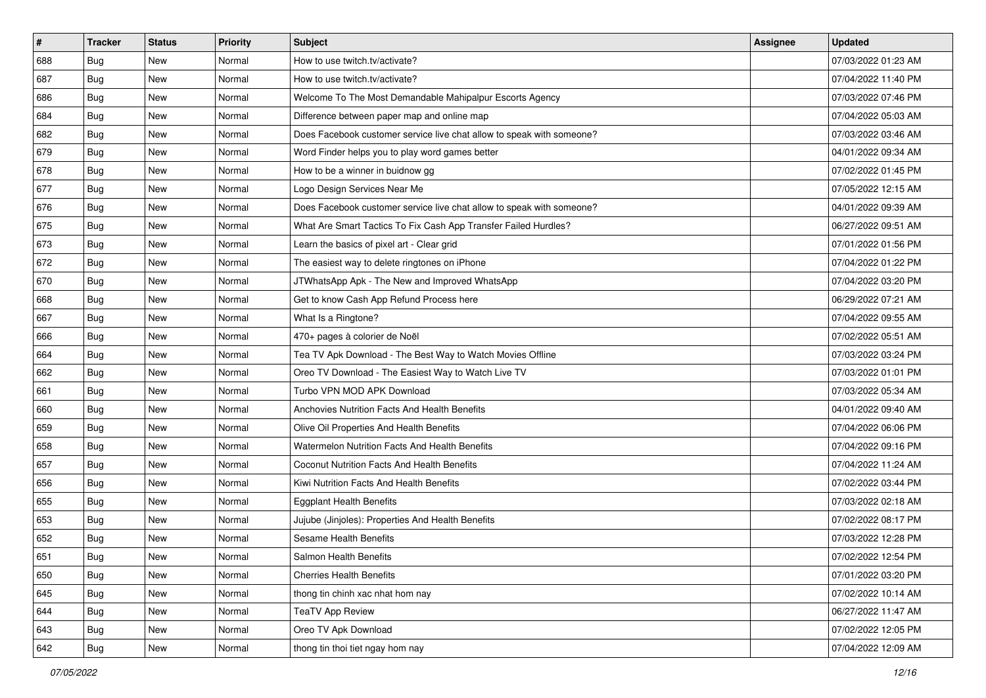| $\sharp$ | <b>Tracker</b> | <b>Status</b> | <b>Priority</b> | <b>Subject</b>                                                        | <b>Assignee</b> | <b>Updated</b>      |
|----------|----------------|---------------|-----------------|-----------------------------------------------------------------------|-----------------|---------------------|
| 688      | Bug            | New           | Normal          | How to use twitch.tv/activate?                                        |                 | 07/03/2022 01:23 AM |
| 687      | Bug            | <b>New</b>    | Normal          | How to use twitch.tv/activate?                                        |                 | 07/04/2022 11:40 PM |
| 686      | Bug            | New           | Normal          | Welcome To The Most Demandable Mahipalpur Escorts Agency              |                 | 07/03/2022 07:46 PM |
| 684      | Bug            | <b>New</b>    | Normal          | Difference between paper map and online map                           |                 | 07/04/2022 05:03 AM |
| 682      | Bug            | <b>New</b>    | Normal          | Does Facebook customer service live chat allow to speak with someone? |                 | 07/03/2022 03:46 AM |
| 679      | Bug            | New           | Normal          | Word Finder helps you to play word games better                       |                 | 04/01/2022 09:34 AM |
| 678      | Bug            | <b>New</b>    | Normal          | How to be a winner in buidnow gg                                      |                 | 07/02/2022 01:45 PM |
| 677      | Bug            | New           | Normal          | Logo Design Services Near Me                                          |                 | 07/05/2022 12:15 AM |
| 676      | Bug            | <b>New</b>    | Normal          | Does Facebook customer service live chat allow to speak with someone? |                 | 04/01/2022 09:39 AM |
| 675      | Bug            | <b>New</b>    | Normal          | What Are Smart Tactics To Fix Cash App Transfer Failed Hurdles?       |                 | 06/27/2022 09:51 AM |
| 673      | Bug            | <b>New</b>    | Normal          | Learn the basics of pixel art - Clear grid                            |                 | 07/01/2022 01:56 PM |
| 672      | Bug            | New           | Normal          | The easiest way to delete ringtones on iPhone                         |                 | 07/04/2022 01:22 PM |
| 670      | Bug            | New           | Normal          | JTWhatsApp Apk - The New and Improved WhatsApp                        |                 | 07/04/2022 03:20 PM |
| 668      | Bug            | <b>New</b>    | Normal          | Get to know Cash App Refund Process here                              |                 | 06/29/2022 07:21 AM |
| 667      | Bug            | <b>New</b>    | Normal          | What Is a Ringtone?                                                   |                 | 07/04/2022 09:55 AM |
| 666      | Bug            | New           | Normal          | 470+ pages à colorier de Noël                                         |                 | 07/02/2022 05:51 AM |
| 664      | Bug            | <b>New</b>    | Normal          | Tea TV Apk Download - The Best Way to Watch Movies Offline            |                 | 07/03/2022 03:24 PM |
| 662      | Bug            | <b>New</b>    | Normal          | Oreo TV Download - The Easiest Way to Watch Live TV                   |                 | 07/03/2022 01:01 PM |
| 661      | Bug            | New           | Normal          | Turbo VPN MOD APK Download                                            |                 | 07/03/2022 05:34 AM |
| 660      | Bug            | <b>New</b>    | Normal          | Anchovies Nutrition Facts And Health Benefits                         |                 | 04/01/2022 09:40 AM |
| 659      | Bug            | New           | Normal          | Olive Oil Properties And Health Benefits                              |                 | 07/04/2022 06:06 PM |
| 658      | Bug            | <b>New</b>    | Normal          | Watermelon Nutrition Facts And Health Benefits                        |                 | 07/04/2022 09:16 PM |
| 657      | Bug            | <b>New</b>    | Normal          | <b>Coconut Nutrition Facts And Health Benefits</b>                    |                 | 07/04/2022 11:24 AM |
| 656      | Bug            | <b>New</b>    | Normal          | Kiwi Nutrition Facts And Health Benefits                              |                 | 07/02/2022 03:44 PM |
| 655      | Bug            | <b>New</b>    | Normal          | <b>Eggplant Health Benefits</b>                                       |                 | 07/03/2022 02:18 AM |
| 653      | Bug            | New           | Normal          | Jujube (Jinjoles): Properties And Health Benefits                     |                 | 07/02/2022 08:17 PM |
| 652      | Bug            | <b>New</b>    | Normal          | <b>Sesame Health Benefits</b>                                         |                 | 07/03/2022 12:28 PM |
| 651      | <b>Bug</b>     | New           | Normal          | Salmon Health Benefits                                                |                 | 07/02/2022 12:54 PM |
| 650      | Bug            | New           | Normal          | <b>Cherries Health Benefits</b>                                       |                 | 07/01/2022 03:20 PM |
| 645      | Bug            | New           | Normal          | thong tin chinh xac nhat hom nay                                      |                 | 07/02/2022 10:14 AM |
| 644      | Bug            | New           | Normal          | <b>TeaTV App Review</b>                                               |                 | 06/27/2022 11:47 AM |
| 643      | Bug            | New           | Normal          | Oreo TV Apk Download                                                  |                 | 07/02/2022 12:05 PM |
| 642      | <b>Bug</b>     | New           | Normal          | thong tin thoi tiet ngay hom nay                                      |                 | 07/04/2022 12:09 AM |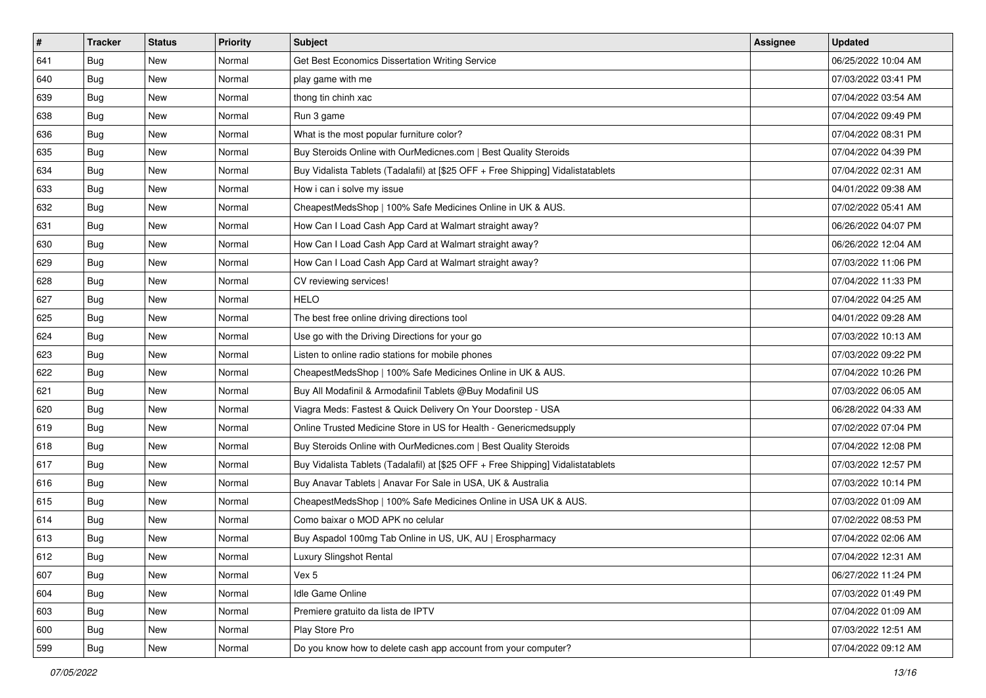| #   | <b>Tracker</b> | <b>Status</b> | <b>Priority</b> | <b>Subject</b>                                                                   | <b>Assignee</b> | <b>Updated</b>      |
|-----|----------------|---------------|-----------------|----------------------------------------------------------------------------------|-----------------|---------------------|
| 641 | Bug            | New           | Normal          | Get Best Economics Dissertation Writing Service                                  |                 | 06/25/2022 10:04 AM |
| 640 | <b>Bug</b>     | <b>New</b>    | Normal          | play game with me                                                                |                 | 07/03/2022 03:41 PM |
| 639 | Bug            | New           | Normal          | thong tin chinh xac                                                              |                 | 07/04/2022 03:54 AM |
| 638 | Bug            | New           | Normal          | Run 3 game                                                                       |                 | 07/04/2022 09:49 PM |
| 636 | <b>Bug</b>     | <b>New</b>    | Normal          | What is the most popular furniture color?                                        |                 | 07/04/2022 08:31 PM |
| 635 | <b>Bug</b>     | New           | Normal          | Buy Steroids Online with OurMedicnes.com   Best Quality Steroids                 |                 | 07/04/2022 04:39 PM |
| 634 | <b>Bug</b>     | New           | Normal          | Buy Vidalista Tablets (Tadalafil) at [\$25 OFF + Free Shipping] Vidalistatablets |                 | 07/04/2022 02:31 AM |
| 633 | <b>Bug</b>     | New           | Normal          | How i can i solve my issue                                                       |                 | 04/01/2022 09:38 AM |
| 632 | <b>Bug</b>     | New           | Normal          | CheapestMedsShop   100% Safe Medicines Online in UK & AUS.                       |                 | 07/02/2022 05:41 AM |
| 631 | Bug            | <b>New</b>    | Normal          | How Can I Load Cash App Card at Walmart straight away?                           |                 | 06/26/2022 04:07 PM |
| 630 | <b>Bug</b>     | New           | Normal          | How Can I Load Cash App Card at Walmart straight away?                           |                 | 06/26/2022 12:04 AM |
| 629 | <b>Bug</b>     | New           | Normal          | How Can I Load Cash App Card at Walmart straight away?                           |                 | 07/03/2022 11:06 PM |
| 628 | <b>Bug</b>     | New           | Normal          | CV reviewing services!                                                           |                 | 07/04/2022 11:33 PM |
| 627 | <b>Bug</b>     | New           | Normal          | <b>HELO</b>                                                                      |                 | 07/04/2022 04:25 AM |
| 625 | <b>Bug</b>     | New           | Normal          | The best free online driving directions tool                                     |                 | 04/01/2022 09:28 AM |
| 624 | Bug            | New           | Normal          | Use go with the Driving Directions for your go                                   |                 | 07/03/2022 10:13 AM |
| 623 | <b>Bug</b>     | New           | Normal          | Listen to online radio stations for mobile phones                                |                 | 07/03/2022 09:22 PM |
| 622 | <b>Bug</b>     | New           | Normal          | CheapestMedsShop   100% Safe Medicines Online in UK & AUS.                       |                 | 07/04/2022 10:26 PM |
| 621 | <b>Bug</b>     | New           | Normal          | Buy All Modafinil & Armodafinil Tablets @Buy Modafinil US                        |                 | 07/03/2022 06:05 AM |
| 620 | <b>Bug</b>     | <b>New</b>    | Normal          | Viagra Meds: Fastest & Quick Delivery On Your Doorstep - USA                     |                 | 06/28/2022 04:33 AM |
| 619 | Bug            | New           | Normal          | Online Trusted Medicine Store in US for Health - Genericmedsupply                |                 | 07/02/2022 07:04 PM |
| 618 | <b>Bug</b>     | New           | Normal          | Buy Steroids Online with OurMedicnes.com   Best Quality Steroids                 |                 | 07/04/2022 12:08 PM |
| 617 | Bug            | New           | Normal          | Buy Vidalista Tablets (Tadalafil) at [\$25 OFF + Free Shipping] Vidalistatablets |                 | 07/03/2022 12:57 PM |
| 616 | <b>Bug</b>     | New           | Normal          | Buy Anavar Tablets   Anavar For Sale in USA, UK & Australia                      |                 | 07/03/2022 10:14 PM |
| 615 | <b>Bug</b>     | New           | Normal          | CheapestMedsShop   100% Safe Medicines Online in USA UK & AUS.                   |                 | 07/03/2022 01:09 AM |
| 614 | Bug            | New           | Normal          | Como baixar o MOD APK no celular                                                 |                 | 07/02/2022 08:53 PM |
| 613 | <b>Bug</b>     | New           | Normal          | Buy Aspadol 100mg Tab Online in US, UK, AU   Erospharmacy                        |                 | 07/04/2022 02:06 AM |
| 612 | <b>Bug</b>     | New           | Normal          | Luxury Slingshot Rental                                                          |                 | 07/04/2022 12:31 AM |
| 607 | Bug            | New           | Normal          | Vex 5                                                                            |                 | 06/27/2022 11:24 PM |
| 604 | Bug            | New           | Normal          | Idle Game Online                                                                 |                 | 07/03/2022 01:49 PM |
| 603 | Bug            | New           | Normal          | Premiere gratuito da lista de IPTV                                               |                 | 07/04/2022 01:09 AM |
| 600 | Bug            | New           | Normal          | Play Store Pro                                                                   |                 | 07/03/2022 12:51 AM |
| 599 | <b>Bug</b>     | New           | Normal          | Do you know how to delete cash app account from your computer?                   |                 | 07/04/2022 09:12 AM |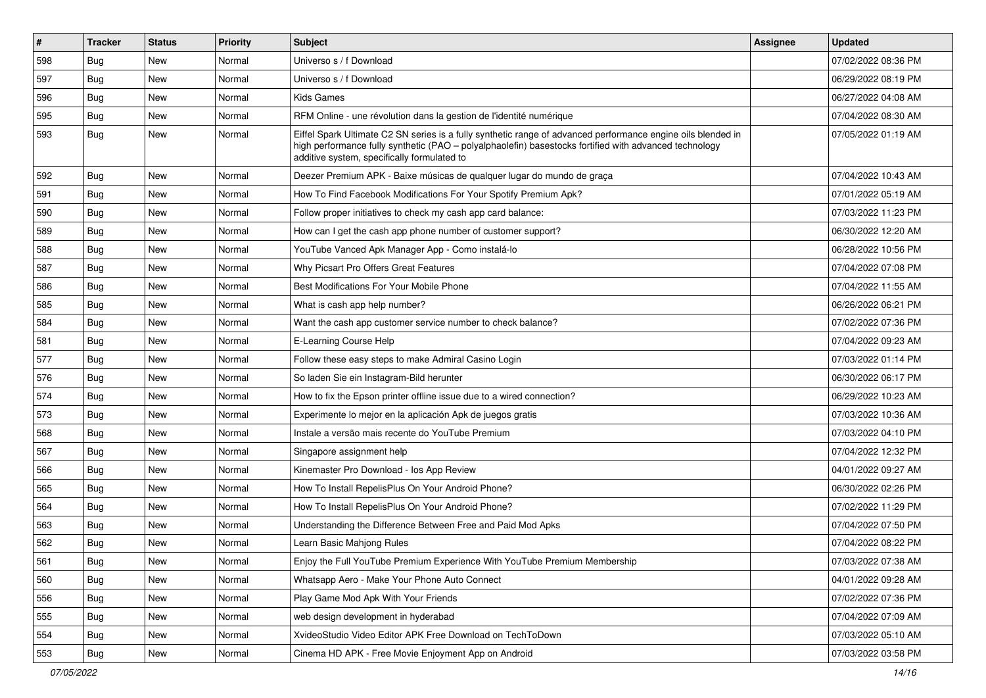| $\vert$ # | <b>Tracker</b> | <b>Status</b> | <b>Priority</b> | <b>Subject</b>                                                                                                                                                                                                                                                        | <b>Assignee</b> | <b>Updated</b>      |
|-----------|----------------|---------------|-----------------|-----------------------------------------------------------------------------------------------------------------------------------------------------------------------------------------------------------------------------------------------------------------------|-----------------|---------------------|
| 598       | <b>Bug</b>     | New           | Normal          | Universo s / f Download                                                                                                                                                                                                                                               |                 | 07/02/2022 08:36 PM |
| 597       | Bug            | <b>New</b>    | Normal          | Universo s / f Download                                                                                                                                                                                                                                               |                 | 06/29/2022 08:19 PM |
| 596       | <b>Bug</b>     | New           | Normal          | <b>Kids Games</b>                                                                                                                                                                                                                                                     |                 | 06/27/2022 04:08 AM |
| 595       | <b>Bug</b>     | New           | Normal          | RFM Online - une révolution dans la gestion de l'identité numérique                                                                                                                                                                                                   |                 | 07/04/2022 08:30 AM |
| 593       | Bug            | New           | Normal          | Eiffel Spark Ultimate C2 SN series is a fully synthetic range of advanced performance engine oils blended in<br>high performance fully synthetic (PAO - polyalphaolefin) basestocks fortified with advanced technology<br>additive system, specifically formulated to |                 | 07/05/2022 01:19 AM |
| 592       | Bug            | New           | Normal          | Deezer Premium APK - Baixe músicas de qualquer lugar do mundo de graça                                                                                                                                                                                                |                 | 07/04/2022 10:43 AM |
| 591       | Bug            | New           | Normal          | How To Find Facebook Modifications For Your Spotify Premium Apk?                                                                                                                                                                                                      |                 | 07/01/2022 05:19 AM |
| 590       | Bug            | <b>New</b>    | Normal          | Follow proper initiatives to check my cash app card balance:                                                                                                                                                                                                          |                 | 07/03/2022 11:23 PM |
| 589       | <b>Bug</b>     | New           | Normal          | How can I get the cash app phone number of customer support?                                                                                                                                                                                                          |                 | 06/30/2022 12:20 AM |
| 588       | <b>Bug</b>     | New           | Normal          | YouTube Vanced Apk Manager App - Como instalá-lo                                                                                                                                                                                                                      |                 | 06/28/2022 10:56 PM |
| 587       | Bug            | New           | Normal          | Why Picsart Pro Offers Great Features                                                                                                                                                                                                                                 |                 | 07/04/2022 07:08 PM |
| 586       | <b>Bug</b>     | New           | Normal          | Best Modifications For Your Mobile Phone                                                                                                                                                                                                                              |                 | 07/04/2022 11:55 AM |
| 585       | Bug            | <b>New</b>    | Normal          | What is cash app help number?                                                                                                                                                                                                                                         |                 | 06/26/2022 06:21 PM |
| 584       | Bug            | New           | Normal          | Want the cash app customer service number to check balance?                                                                                                                                                                                                           |                 | 07/02/2022 07:36 PM |
| 581       | <b>Bug</b>     | New           | Normal          | E-Learning Course Help                                                                                                                                                                                                                                                |                 | 07/04/2022 09:23 AM |
| 577       | Bug            | New           | Normal          | Follow these easy steps to make Admiral Casino Login                                                                                                                                                                                                                  |                 | 07/03/2022 01:14 PM |
| 576       | <b>Bug</b>     | New           | Normal          | So laden Sie ein Instagram-Bild herunter                                                                                                                                                                                                                              |                 | 06/30/2022 06:17 PM |
| 574       | <b>Bug</b>     | New           | Normal          | How to fix the Epson printer offline issue due to a wired connection?                                                                                                                                                                                                 |                 | 06/29/2022 10:23 AM |
| 573       | <b>Bug</b>     | New           | Normal          | Experimente lo mejor en la aplicación Apk de juegos gratis                                                                                                                                                                                                            |                 | 07/03/2022 10:36 AM |
| 568       | <b>Bug</b>     | <b>New</b>    | Normal          | Instale a versão mais recente do YouTube Premium                                                                                                                                                                                                                      |                 | 07/03/2022 04:10 PM |
| 567       | Bug            | <b>New</b>    | Normal          | Singapore assignment help                                                                                                                                                                                                                                             |                 | 07/04/2022 12:32 PM |
| 566       | <b>Bug</b>     | New           | Normal          | Kinemaster Pro Download - los App Review                                                                                                                                                                                                                              |                 | 04/01/2022 09:27 AM |
| 565       | <b>Bug</b>     | New           | Normal          | How To Install RepelisPlus On Your Android Phone?                                                                                                                                                                                                                     |                 | 06/30/2022 02:26 PM |
| 564       | Bug            | New           | Normal          | How To Install RepelisPlus On Your Android Phone?                                                                                                                                                                                                                     |                 | 07/02/2022 11:29 PM |
| 563       | <b>Bug</b>     | New           | Normal          | Understanding the Difference Between Free and Paid Mod Apks                                                                                                                                                                                                           |                 | 07/04/2022 07:50 PM |
| 562       | <b>Bug</b>     | New           | Normal          | Learn Basic Mahjong Rules                                                                                                                                                                                                                                             |                 | 07/04/2022 08:22 PM |
| 561       | Bug            | New           | Normal          | Enjoy the Full YouTube Premium Experience With YouTube Premium Membership                                                                                                                                                                                             |                 | 07/03/2022 07:38 AM |
| 560       | Bug            | <b>New</b>    | Normal          | Whatsapp Aero - Make Your Phone Auto Connect                                                                                                                                                                                                                          |                 | 04/01/2022 09:28 AM |
| 556       | Bug            | <b>New</b>    | Normal          | Play Game Mod Apk With Your Friends                                                                                                                                                                                                                                   |                 | 07/02/2022 07:36 PM |
| 555       | Bug            | New           | Normal          | web design development in hyderabad                                                                                                                                                                                                                                   |                 | 07/04/2022 07:09 AM |
| 554       | Bug            | New           | Normal          | XvideoStudio Video Editor APK Free Download on TechToDown                                                                                                                                                                                                             |                 | 07/03/2022 05:10 AM |
| 553       | <b>Bug</b>     | New           | Normal          | Cinema HD APK - Free Movie Enjoyment App on Android                                                                                                                                                                                                                   |                 | 07/03/2022 03:58 PM |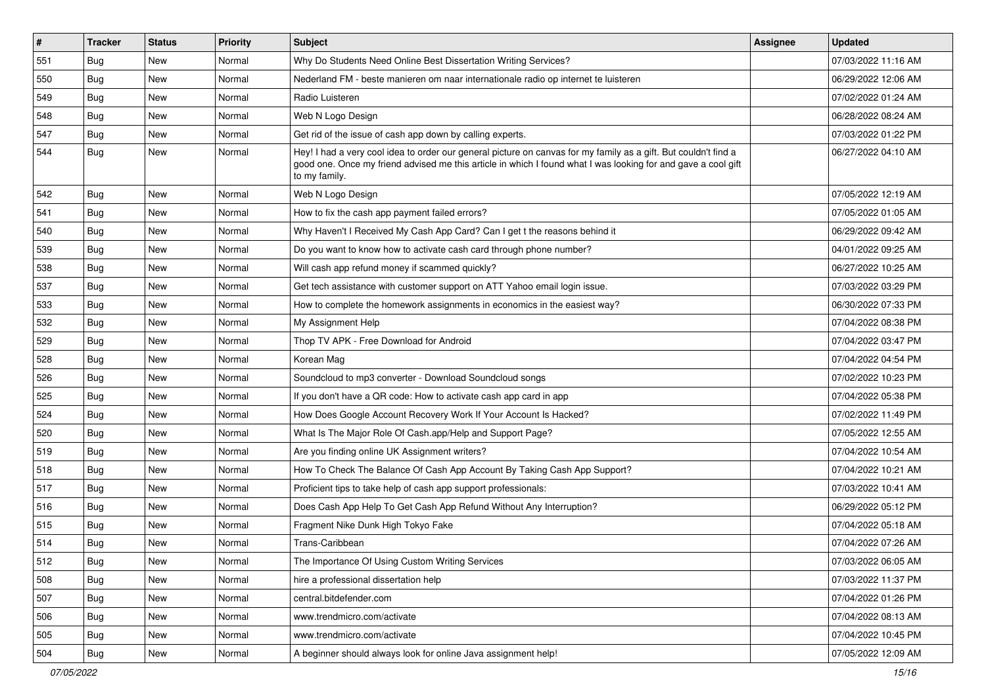| #   | <b>Tracker</b> | <b>Status</b> | <b>Priority</b> | <b>Subject</b>                                                                                                                                                                                                                                    | <b>Assignee</b> | <b>Updated</b>      |
|-----|----------------|---------------|-----------------|---------------------------------------------------------------------------------------------------------------------------------------------------------------------------------------------------------------------------------------------------|-----------------|---------------------|
| 551 | <b>Bug</b>     | New           | Normal          | Why Do Students Need Online Best Dissertation Writing Services?                                                                                                                                                                                   |                 | 07/03/2022 11:16 AM |
| 550 | Bug            | <b>New</b>    | Normal          | Nederland FM - beste manieren om naar internationale radio op internet te luisteren                                                                                                                                                               |                 | 06/29/2022 12:06 AM |
| 549 | <b>Bug</b>     | New           | Normal          | Radio Luisteren                                                                                                                                                                                                                                   |                 | 07/02/2022 01:24 AM |
| 548 | Bug            | New           | Normal          | Web N Logo Design                                                                                                                                                                                                                                 |                 | 06/28/2022 08:24 AM |
| 547 | Bug            | <b>New</b>    | Normal          | Get rid of the issue of cash app down by calling experts.                                                                                                                                                                                         |                 | 07/03/2022 01:22 PM |
| 544 | <b>Bug</b>     | New           | Normal          | Hey! I had a very cool idea to order our general picture on canvas for my family as a gift. But couldn't find a<br>good one. Once my friend advised me this article in which I found what I was looking for and gave a cool gift<br>to my family. |                 | 06/27/2022 04:10 AM |
| 542 | Bug            | New           | Normal          | Web N Logo Design                                                                                                                                                                                                                                 |                 | 07/05/2022 12:19 AM |
| 541 | Bug            | <b>New</b>    | Normal          | How to fix the cash app payment failed errors?                                                                                                                                                                                                    |                 | 07/05/2022 01:05 AM |
| 540 | Bug            | New           | Normal          | Why Haven't I Received My Cash App Card? Can I get t the reasons behind it                                                                                                                                                                        |                 | 06/29/2022 09:42 AM |
| 539 | Bug            | New           | Normal          | Do you want to know how to activate cash card through phone number?                                                                                                                                                                               |                 | 04/01/2022 09:25 AM |
| 538 | Bug            | New           | Normal          | Will cash app refund money if scammed quickly?                                                                                                                                                                                                    |                 | 06/27/2022 10:25 AM |
| 537 | <b>Bug</b>     | New           | Normal          | Get tech assistance with customer support on ATT Yahoo email login issue.                                                                                                                                                                         |                 | 07/03/2022 03:29 PM |
| 533 | Bug            | New           | Normal          | How to complete the homework assignments in economics in the easiest way?                                                                                                                                                                         |                 | 06/30/2022 07:33 PM |
| 532 | Bug            | New           | Normal          | My Assignment Help                                                                                                                                                                                                                                |                 | 07/04/2022 08:38 PM |
| 529 | <b>Bug</b>     | <b>New</b>    | Normal          | Thop TV APK - Free Download for Android                                                                                                                                                                                                           |                 | 07/04/2022 03:47 PM |
| 528 | Bug            | New           | Normal          | Korean Mag                                                                                                                                                                                                                                        |                 | 07/04/2022 04:54 PM |
| 526 | Bug            | New           | Normal          | Soundcloud to mp3 converter - Download Soundcloud songs                                                                                                                                                                                           |                 | 07/02/2022 10:23 PM |
| 525 | <b>Bug</b>     | New           | Normal          | If you don't have a QR code: How to activate cash app card in app                                                                                                                                                                                 |                 | 07/04/2022 05:38 PM |
| 524 | Bug            | New           | Normal          | How Does Google Account Recovery Work If Your Account Is Hacked?                                                                                                                                                                                  |                 | 07/02/2022 11:49 PM |
| 520 | Bug            | New           | Normal          | What Is The Major Role Of Cash.app/Help and Support Page?                                                                                                                                                                                         |                 | 07/05/2022 12:55 AM |
| 519 | Bug            | New           | Normal          | Are you finding online UK Assignment writers?                                                                                                                                                                                                     |                 | 07/04/2022 10:54 AM |
| 518 | Bug            | New           | Normal          | How To Check The Balance Of Cash App Account By Taking Cash App Support?                                                                                                                                                                          |                 | 07/04/2022 10:21 AM |
| 517 | Bug            | New           | Normal          | Proficient tips to take help of cash app support professionals:                                                                                                                                                                                   |                 | 07/03/2022 10:41 AM |
| 516 | Bug            | New           | Normal          | Does Cash App Help To Get Cash App Refund Without Any Interruption?                                                                                                                                                                               |                 | 06/29/2022 05:12 PM |
| 515 | <b>Bug</b>     | New           | Normal          | Fragment Nike Dunk High Tokyo Fake                                                                                                                                                                                                                |                 | 07/04/2022 05:18 AM |
| 514 | <b>Bug</b>     | <b>New</b>    | Normal          | Trans-Caribbean                                                                                                                                                                                                                                   |                 | 07/04/2022 07:26 AM |
| 512 | Bug            | New           | Normal          | The Importance Of Using Custom Writing Services                                                                                                                                                                                                   |                 | 07/03/2022 06:05 AM |
| 508 | Bug            | New           | Normal          | hire a professional dissertation help                                                                                                                                                                                                             |                 | 07/03/2022 11:37 PM |
| 507 | Bug            | New           | Normal          | central.bitdefender.com                                                                                                                                                                                                                           |                 | 07/04/2022 01:26 PM |
| 506 | Bug            | New           | Normal          | www.trendmicro.com/activate                                                                                                                                                                                                                       |                 | 07/04/2022 08:13 AM |
| 505 | Bug            | New           | Normal          | www.trendmicro.com/activate                                                                                                                                                                                                                       |                 | 07/04/2022 10:45 PM |
| 504 | <b>Bug</b>     | New           | Normal          | A beginner should always look for online Java assignment help!                                                                                                                                                                                    |                 | 07/05/2022 12:09 AM |